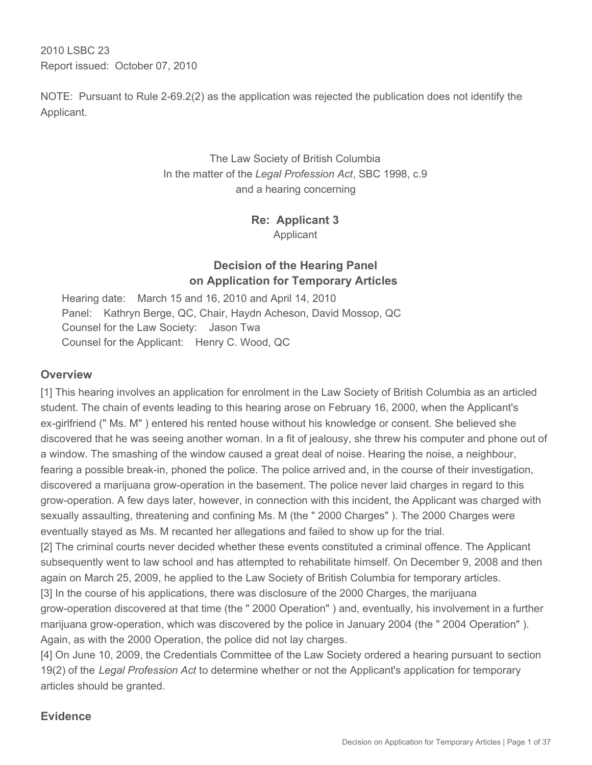2010 LSBC 23 Report issued: October 07, 2010

NOTE: Pursuant to Rule 2-69.2(2) as the application was rejected the publication does not identify the Applicant.

# The Law Society of British Columbia In the matter of the *Legal Profession Act*, SBC 1998, c.9 and a hearing concerning

**Re: Applicant 3** Applicant

# **Decision of the Hearing Panel on Application for Temporary Articles**

Hearing date: March 15 and 16, 2010 and April 14, 2010 Panel: Kathryn Berge, QC, Chair, Haydn Acheson, David Mossop, QC Counsel for the Law Society: Jason Twa Counsel for the Applicant: Henry C. Wood, QC

## **Overview**

[1] This hearing involves an application for enrolment in the Law Society of British Columbia as an articled student. The chain of events leading to this hearing arose on February 16, 2000, when the Applicant's ex-girlfriend (" Ms. M" ) entered his rented house without his knowledge or consent. She believed she discovered that he was seeing another woman. In a fit of jealousy, she threw his computer and phone out of a window. The smashing of the window caused a great deal of noise. Hearing the noise, a neighbour, fearing a possible break-in, phoned the police. The police arrived and, in the course of their investigation, discovered a marijuana grow-operation in the basement. The police never laid charges in regard to this grow-operation. A few days later, however, in connection with this incident, the Applicant was charged with sexually assaulting, threatening and confining Ms. M (the " 2000 Charges" ). The 2000 Charges were eventually stayed as Ms. M recanted her allegations and failed to show up for the trial.

[2] The criminal courts never decided whether these events constituted a criminal offence. The Applicant subsequently went to law school and has attempted to rehabilitate himself. On December 9, 2008 and then again on March 25, 2009, he applied to the Law Society of British Columbia for temporary articles.

[3] In the course of his applications, there was disclosure of the 2000 Charges, the marijuana grow-operation discovered at that time (the " 2000 Operation" ) and, eventually, his involvement in a further marijuana grow-operation, which was discovered by the police in January 2004 (the " 2004 Operation" ). Again, as with the 2000 Operation, the police did not lay charges.

[4] On June 10, 2009, the Credentials Committee of the Law Society ordered a hearing pursuant to section 19(2) of the *Legal Profession Act* to determine whether or not the Applicant's application for temporary articles should be granted.

# **Evidence**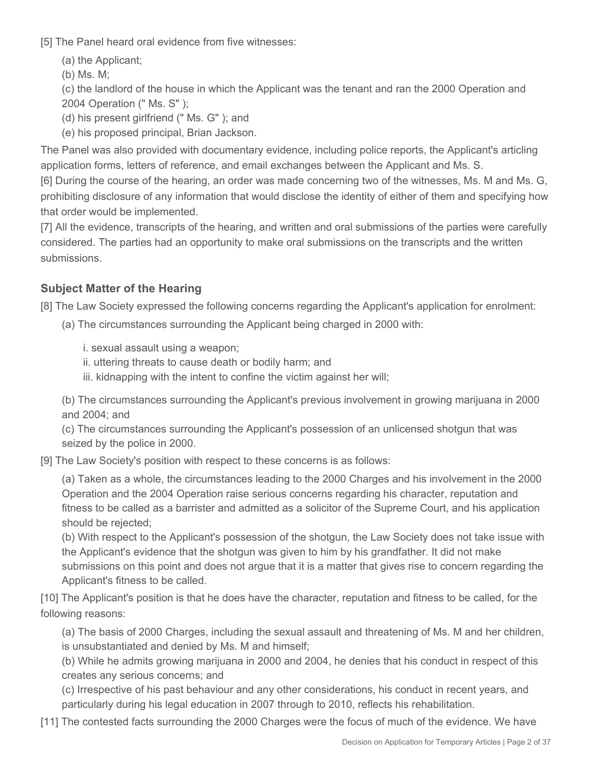[5] The Panel heard oral evidence from five witnesses:

(a) the Applicant;

(b) Ms. M;

(c) the landlord of the house in which the Applicant was the tenant and ran the 2000 Operation and 2004 Operation (" Ms. S" );

(d) his present girlfriend (" Ms. G" ); and

(e) his proposed principal, Brian Jackson.

The Panel was also provided with documentary evidence, including police reports, the Applicant's articling application forms, letters of reference, and email exchanges between the Applicant and Ms. S.

[6] During the course of the hearing, an order was made concerning two of the witnesses, Ms. M and Ms. G, prohibiting disclosure of any information that would disclose the identity of either of them and specifying how that order would be implemented.

[7] All the evidence, transcripts of the hearing, and written and oral submissions of the parties were carefully considered. The parties had an opportunity to make oral submissions on the transcripts and the written submissions.

# **Subject Matter of the Hearing**

[8] The Law Society expressed the following concerns regarding the Applicant's application for enrolment:

(a) The circumstances surrounding the Applicant being charged in 2000 with:

i. sexual assault using a weapon;

ii. uttering threats to cause death or bodily harm; and

iii. kidnapping with the intent to confine the victim against her will;

(b) The circumstances surrounding the Applicant's previous involvement in growing marijuana in 2000 and 2004; and

(c) The circumstances surrounding the Applicant's possession of an unlicensed shotgun that was seized by the police in 2000.

[9] The Law Society's position with respect to these concerns is as follows:

(a) Taken as a whole, the circumstances leading to the 2000 Charges and his involvement in the 2000 Operation and the 2004 Operation raise serious concerns regarding his character, reputation and fitness to be called as a barrister and admitted as a solicitor of the Supreme Court, and his application should be rejected;

(b) With respect to the Applicant's possession of the shotgun, the Law Society does not take issue with the Applicant's evidence that the shotgun was given to him by his grandfather. It did not make submissions on this point and does not argue that it is a matter that gives rise to concern regarding the Applicant's fitness to be called.

[10] The Applicant's position is that he does have the character, reputation and fitness to be called, for the following reasons:

(a) The basis of 2000 Charges, including the sexual assault and threatening of Ms. M and her children, is unsubstantiated and denied by Ms. M and himself;

(b) While he admits growing marijuana in 2000 and 2004, he denies that his conduct in respect of this creates any serious concerns; and

(c) Irrespective of his past behaviour and any other considerations, his conduct in recent years, and particularly during his legal education in 2007 through to 2010, reflects his rehabilitation.

[11] The contested facts surrounding the 2000 Charges were the focus of much of the evidence. We have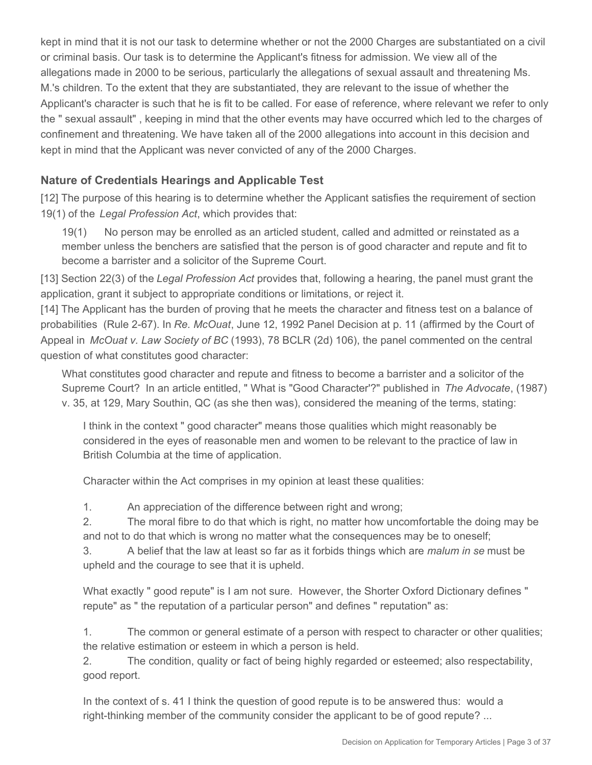kept in mind that it is not our task to determine whether or not the 2000 Charges are substantiated on a civil or criminal basis. Our task is to determine the Applicant's fitness for admission. We view all of the allegations made in 2000 to be serious, particularly the allegations of sexual assault and threatening Ms. M.'s children. To the extent that they are substantiated, they are relevant to the issue of whether the Applicant's character is such that he is fit to be called. For ease of reference, where relevant we refer to only the " sexual assault" , keeping in mind that the other events may have occurred which led to the charges of confinement and threatening. We have taken all of the 2000 allegations into account in this decision and kept in mind that the Applicant was never convicted of any of the 2000 Charges.

# **Nature of Credentials Hearings and Applicable Test**

[12] The purpose of this hearing is to determine whether the Applicant satisfies the requirement of section 19(1) of the *Legal Profession Act*, which provides that:

19(1) No person may be enrolled as an articled student, called and admitted or reinstated as a member unless the benchers are satisfied that the person is of good character and repute and fit to become a barrister and a solicitor of the Supreme Court.

[13] Section 22(3) of the *Legal Profession Act* provides that, following a hearing, the panel must grant the application, grant it subject to appropriate conditions or limitations, or reject it.

[14] The Applicant has the burden of proving that he meets the character and fitness test on a balance of probabilities (Rule 2-67). In *Re. McOuat*, June 12, 1992 Panel Decision at p. 11 (affirmed by the Court of Appeal in *McOuat v. Law Society of BC* (1993), 78 BCLR (2d) 106), the panel commented on the central question of what constitutes good character:

What constitutes good character and repute and fitness to become a barrister and a solicitor of the Supreme Court? In an article entitled, " What is "Good Character'?" published in *The Advocate*, (1987) v. 35, at 129, Mary Southin, QC (as she then was), considered the meaning of the terms, stating:

I think in the context " good character" means those qualities which might reasonably be considered in the eyes of reasonable men and women to be relevant to the practice of law in British Columbia at the time of application.

Character within the Act comprises in my opinion at least these qualities:

1. An appreciation of the difference between right and wrong;

2. The moral fibre to do that which is right, no matter how uncomfortable the doing may be and not to do that which is wrong no matter what the consequences may be to oneself;

3. A belief that the law at least so far as it forbids things which are *malum in se* must be upheld and the courage to see that it is upheld.

What exactly " good repute" is I am not sure. However, the Shorter Oxford Dictionary defines " repute" as " the reputation of a particular person" and defines " reputation" as:

1. The common or general estimate of a person with respect to character or other qualities; the relative estimation or esteem in which a person is held.

2. The condition, quality or fact of being highly regarded or esteemed; also respectability, good report.

In the context of s. 41 I think the question of good repute is to be answered thus: would a right-thinking member of the community consider the applicant to be of good repute? ...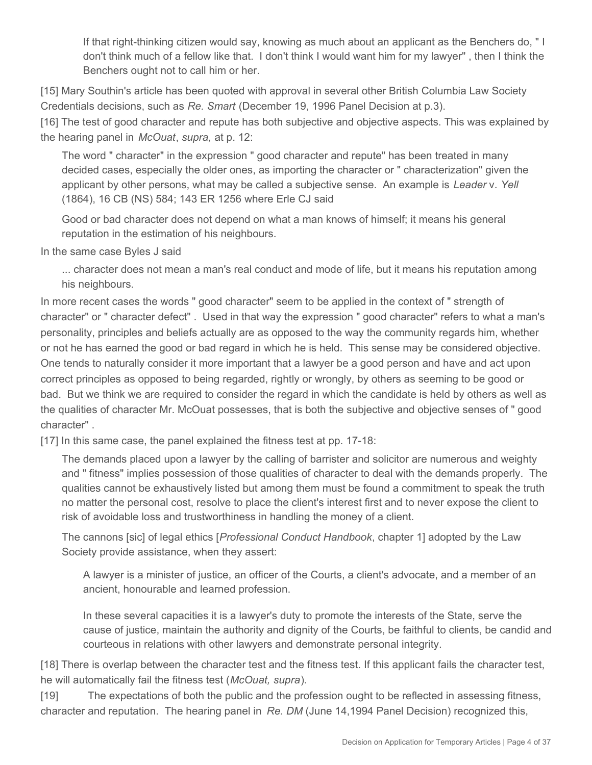If that right-thinking citizen would say, knowing as much about an applicant as the Benchers do, " I don't think much of a fellow like that. I don't think I would want him for my lawyer" , then I think the Benchers ought not to call him or her.

[15] Mary Southin's article has been quoted with approval in several other British Columbia Law Society Credentials decisions, such as *Re. Smart* (December 19, 1996 Panel Decision at p.3).

[16] The test of good character and repute has both subjective and objective aspects. This was explained by the hearing panel in *McOuat*, *supra,* at p. 12:

The word " character" in the expression " good character and repute" has been treated in many decided cases, especially the older ones, as importing the character or " characterization" given the applicant by other persons, what may be called a subjective sense. An example is *Leader* v. *Yell*  (1864), 16 CB (NS) 584; 143 ER 1256 where Erle CJ said

Good or bad character does not depend on what a man knows of himself; it means his general reputation in the estimation of his neighbours.

In the same case Byles J said

... character does not mean a man's real conduct and mode of life, but it means his reputation among his neighbours.

In more recent cases the words " good character" seem to be applied in the context of " strength of character" or " character defect" . Used in that way the expression " good character" refers to what a man's personality, principles and beliefs actually are as opposed to the way the community regards him, whether or not he has earned the good or bad regard in which he is held. This sense may be considered objective. One tends to naturally consider it more important that a lawyer be a good person and have and act upon correct principles as opposed to being regarded, rightly or wrongly, by others as seeming to be good or bad. But we think we are required to consider the regard in which the candidate is held by others as well as the qualities of character Mr. McOuat possesses, that is both the subjective and objective senses of " good character" .

[17] In this same case, the panel explained the fitness test at pp. 17-18:

The demands placed upon a lawyer by the calling of barrister and solicitor are numerous and weighty and " fitness" implies possession of those qualities of character to deal with the demands properly. The qualities cannot be exhaustively listed but among them must be found a commitment to speak the truth no matter the personal cost, resolve to place the client's interest first and to never expose the client to risk of avoidable loss and trustworthiness in handling the money of a client.

The cannons [sic] of legal ethics [*Professional Conduct Handbook*, chapter 1] adopted by the Law Society provide assistance, when they assert:

A lawyer is a minister of justice, an officer of the Courts, a client's advocate, and a member of an ancient, honourable and learned profession.

In these several capacities it is a lawyer's duty to promote the interests of the State, serve the cause of justice, maintain the authority and dignity of the Courts, be faithful to clients, be candid and courteous in relations with other lawyers and demonstrate personal integrity.

[18] There is overlap between the character test and the fitness test. If this applicant fails the character test, he will automatically fail the fitness test (*McOuat, supra*).

[19] The expectations of both the public and the profession ought to be reflected in assessing fitness, character and reputation. The hearing panel in *Re. DM* (June 14,1994 Panel Decision) recognized this,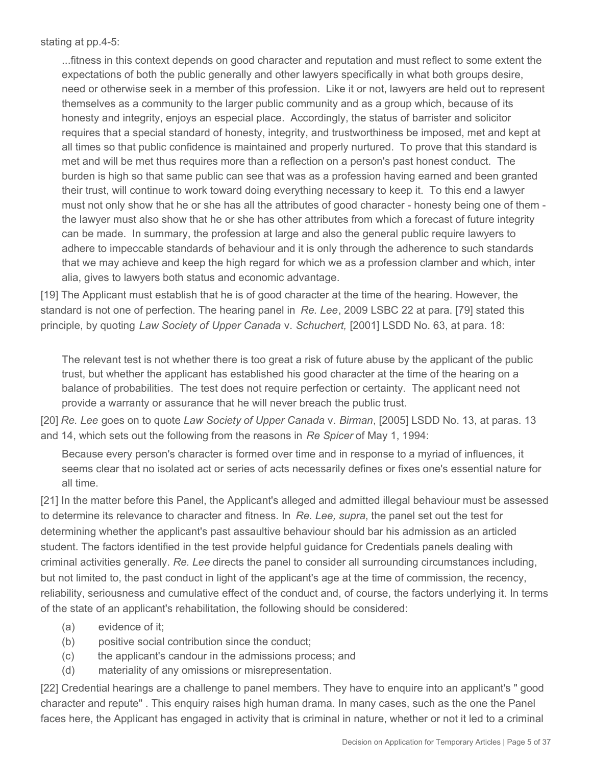stating at pp.4-5:

...fitness in this context depends on good character and reputation and must reflect to some extent the expectations of both the public generally and other lawyers specifically in what both groups desire, need or otherwise seek in a member of this profession. Like it or not, lawyers are held out to represent themselves as a community to the larger public community and as a group which, because of its honesty and integrity, enjoys an especial place. Accordingly, the status of barrister and solicitor requires that a special standard of honesty, integrity, and trustworthiness be imposed, met and kept at all times so that public confidence is maintained and properly nurtured. To prove that this standard is met and will be met thus requires more than a reflection on a person's past honest conduct. The burden is high so that same public can see that was as a profession having earned and been granted their trust, will continue to work toward doing everything necessary to keep it. To this end a lawyer must not only show that he or she has all the attributes of good character - honesty being one of them the lawyer must also show that he or she has other attributes from which a forecast of future integrity can be made. In summary, the profession at large and also the general public require lawyers to adhere to impeccable standards of behaviour and it is only through the adherence to such standards that we may achieve and keep the high regard for which we as a profession clamber and which, inter alia, gives to lawyers both status and economic advantage.

[19] The Applicant must establish that he is of good character at the time of the hearing. However, the standard is not one of perfection. The hearing panel in *Re. Lee*, 2009 LSBC 22 at para. [79] stated this principle, by quoting *Law Society of Upper Canada* v. *Schuchert,* [2001] LSDD No. 63, at para. 18:

The relevant test is not whether there is too great a risk of future abuse by the applicant of the public trust, but whether the applicant has established his good character at the time of the hearing on a balance of probabilities. The test does not require perfection or certainty. The applicant need not provide a warranty or assurance that he will never breach the public trust.

[20] *Re. Lee* goes on to quote *Law Society of Upper Canada* v. *Birman*, [2005] LSDD No. 13, at paras. 13 and 14, which sets out the following from the reasons in *Re Spicer* of May 1, 1994:

Because every person's character is formed over time and in response to a myriad of influences, it seems clear that no isolated act or series of acts necessarily defines or fixes one's essential nature for all time.

[21] In the matter before this Panel, the Applicant's alleged and admitted illegal behaviour must be assessed to determine its relevance to character and fitness. In *Re. Lee, supra*, the panel set out the test for determining whether the applicant's past assaultive behaviour should bar his admission as an articled student. The factors identified in the test provide helpful guidance for Credentials panels dealing with criminal activities generally. *Re. Lee* directs the panel to consider all surrounding circumstances including, but not limited to, the past conduct in light of the applicant's age at the time of commission, the recency, reliability, seriousness and cumulative effect of the conduct and, of course, the factors underlying it. In terms of the state of an applicant's rehabilitation, the following should be considered:

- (a) evidence of it;
- (b) positive social contribution since the conduct;
- (c) the applicant's candour in the admissions process; and
- (d) materiality of any omissions or misrepresentation.

[22] Credential hearings are a challenge to panel members. They have to enquire into an applicant's " good character and repute" . This enquiry raises high human drama. In many cases, such as the one the Panel faces here, the Applicant has engaged in activity that is criminal in nature, whether or not it led to a criminal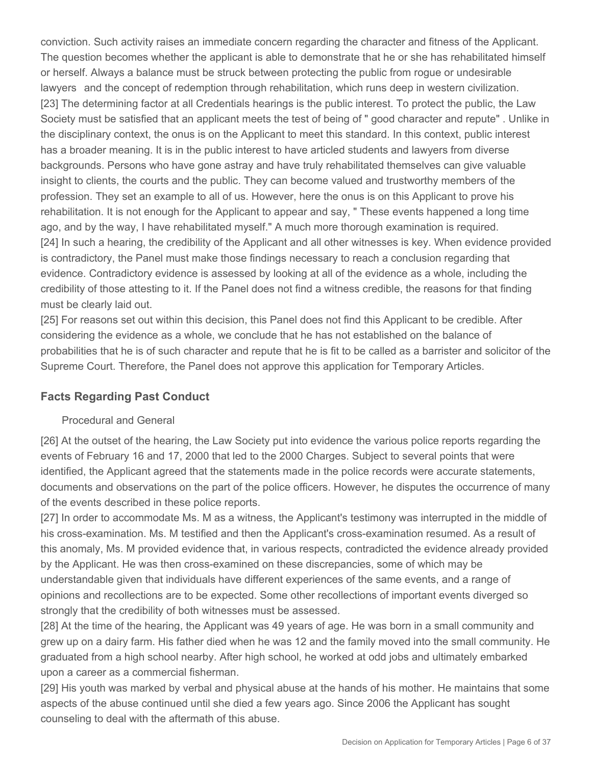conviction. Such activity raises an immediate concern regarding the character and fitness of the Applicant. The question becomes whether the applicant is able to demonstrate that he or she has rehabilitated himself or herself. Always a balance must be struck between protecting the public from rogue or undesirable lawyers and the concept of redemption through rehabilitation, which runs deep in western civilization. [23] The determining factor at all Credentials hearings is the public interest. To protect the public, the Law Society must be satisfied that an applicant meets the test of being of " good character and repute" . Unlike in the disciplinary context, the onus is on the Applicant to meet this standard. In this context, public interest has a broader meaning. It is in the public interest to have articled students and lawyers from diverse backgrounds. Persons who have gone astray and have truly rehabilitated themselves can give valuable insight to clients, the courts and the public. They can become valued and trustworthy members of the profession. They set an example to all of us. However, here the onus is on this Applicant to prove his rehabilitation. It is not enough for the Applicant to appear and say, " These events happened a long time ago, and by the way, I have rehabilitated myself." A much more thorough examination is required. [24] In such a hearing, the credibility of the Applicant and all other witnesses is key. When evidence provided is contradictory, the Panel must make those findings necessary to reach a conclusion regarding that evidence. Contradictory evidence is assessed by looking at all of the evidence as a whole, including the credibility of those attesting to it. If the Panel does not find a witness credible, the reasons for that finding must be clearly laid out.

[25] For reasons set out within this decision, this Panel does not find this Applicant to be credible. After considering the evidence as a whole, we conclude that he has not established on the balance of probabilities that he is of such character and repute that he is fit to be called as a barrister and solicitor of the Supreme Court. Therefore, the Panel does not approve this application for Temporary Articles.

# **Facts Regarding Past Conduct**

#### Procedural and General

[26] At the outset of the hearing, the Law Society put into evidence the various police reports regarding the events of February 16 and 17, 2000 that led to the 2000 Charges. Subject to several points that were identified, the Applicant agreed that the statements made in the police records were accurate statements, documents and observations on the part of the police officers. However, he disputes the occurrence of many of the events described in these police reports.

[27] In order to accommodate Ms. M as a witness, the Applicant's testimony was interrupted in the middle of his cross-examination. Ms. M testified and then the Applicant's cross-examination resumed. As a result of this anomaly, Ms. M provided evidence that, in various respects, contradicted the evidence already provided by the Applicant. He was then cross-examined on these discrepancies, some of which may be understandable given that individuals have different experiences of the same events, and a range of opinions and recollections are to be expected. Some other recollections of important events diverged so strongly that the credibility of both witnesses must be assessed.

[28] At the time of the hearing, the Applicant was 49 years of age. He was born in a small community and grew up on a dairy farm. His father died when he was 12 and the family moved into the small community. He graduated from a high school nearby. After high school, he worked at odd jobs and ultimately embarked upon a career as a commercial fisherman.

[29] His youth was marked by verbal and physical abuse at the hands of his mother. He maintains that some aspects of the abuse continued until she died a few years ago. Since 2006 the Applicant has sought counseling to deal with the aftermath of this abuse.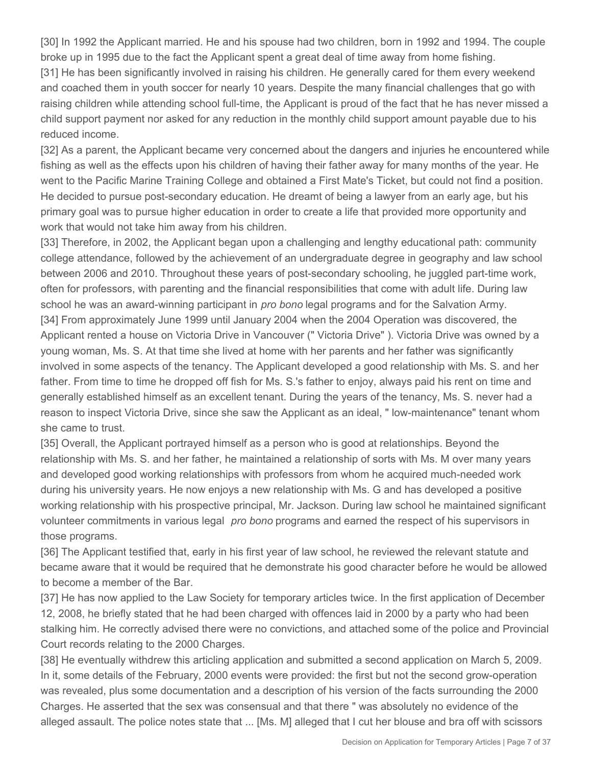[30] In 1992 the Applicant married. He and his spouse had two children, born in 1992 and 1994. The couple broke up in 1995 due to the fact the Applicant spent a great deal of time away from home fishing.

[31] He has been significantly involved in raising his children. He generally cared for them every weekend and coached them in youth soccer for nearly 10 years. Despite the many financial challenges that go with raising children while attending school full-time, the Applicant is proud of the fact that he has never missed a child support payment nor asked for any reduction in the monthly child support amount payable due to his reduced income.

[32] As a parent, the Applicant became very concerned about the dangers and injuries he encountered while fishing as well as the effects upon his children of having their father away for many months of the year. He went to the Pacific Marine Training College and obtained a First Mate's Ticket, but could not find a position. He decided to pursue post-secondary education. He dreamt of being a lawyer from an early age, but his primary goal was to pursue higher education in order to create a life that provided more opportunity and work that would not take him away from his children.

[33] Therefore, in 2002, the Applicant began upon a challenging and lengthy educational path: community college attendance, followed by the achievement of an undergraduate degree in geography and law school between 2006 and 2010. Throughout these years of post-secondary schooling, he juggled part-time work, often for professors, with parenting and the financial responsibilities that come with adult life. During law school he was an award-winning participant in *pro bono* legal programs and for the Salvation Army. [34] From approximately June 1999 until January 2004 when the 2004 Operation was discovered, the Applicant rented a house on Victoria Drive in Vancouver (" Victoria Drive" ). Victoria Drive was owned by a young woman, Ms. S. At that time she lived at home with her parents and her father was significantly involved in some aspects of the tenancy. The Applicant developed a good relationship with Ms. S. and her father. From time to time he dropped off fish for Ms. S.'s father to enjoy, always paid his rent on time and generally established himself as an excellent tenant. During the years of the tenancy, Ms. S. never had a reason to inspect Victoria Drive, since she saw the Applicant as an ideal, " low-maintenance" tenant whom she came to trust.

[35] Overall, the Applicant portrayed himself as a person who is good at relationships. Beyond the relationship with Ms. S. and her father, he maintained a relationship of sorts with Ms. M over many years and developed good working relationships with professors from whom he acquired much-needed work during his university years. He now enjoys a new relationship with Ms. G and has developed a positive working relationship with his prospective principal, Mr. Jackson. During law school he maintained significant volunteer commitments in various legal *pro bono* programs and earned the respect of his supervisors in those programs.

[36] The Applicant testified that, early in his first year of law school, he reviewed the relevant statute and became aware that it would be required that he demonstrate his good character before he would be allowed to become a member of the Bar.

[37] He has now applied to the Law Society for temporary articles twice. In the first application of December 12, 2008, he briefly stated that he had been charged with offences laid in 2000 by a party who had been stalking him. He correctly advised there were no convictions, and attached some of the police and Provincial Court records relating to the 2000 Charges.

[38] He eventually withdrew this articling application and submitted a second application on March 5, 2009. In it, some details of the February, 2000 events were provided: the first but not the second grow-operation was revealed, plus some documentation and a description of his version of the facts surrounding the 2000 Charges. He asserted that the sex was consensual and that there " was absolutely no evidence of the alleged assault. The police notes state that ... [Ms. M] alleged that I cut her blouse and bra off with scissors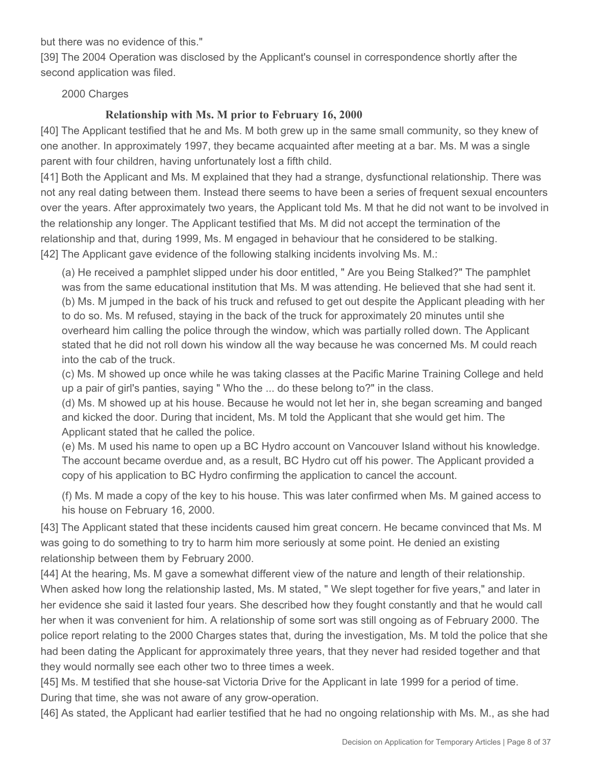but there was no evidence of this."

[39] The 2004 Operation was disclosed by the Applicant's counsel in correspondence shortly after the second application was filed.

#### 2000 Charges

## **Relationship with Ms. M prior to February 16, 2000**

[40] The Applicant testified that he and Ms. M both grew up in the same small community, so they knew of one another. In approximately 1997, they became acquainted after meeting at a bar. Ms. M was a single parent with four children, having unfortunately lost a fifth child.

[41] Both the Applicant and Ms. M explained that they had a strange, dysfunctional relationship. There was not any real dating between them. Instead there seems to have been a series of frequent sexual encounters over the years. After approximately two years, the Applicant told Ms. M that he did not want to be involved in the relationship any longer. The Applicant testified that Ms. M did not accept the termination of the relationship and that, during 1999, Ms. M engaged in behaviour that he considered to be stalking. [42] The Applicant gave evidence of the following stalking incidents involving Ms. M.:

(a) He received a pamphlet slipped under his door entitled, " Are you Being Stalked?" The pamphlet was from the same educational institution that Ms. M was attending. He believed that she had sent it. (b) Ms. M jumped in the back of his truck and refused to get out despite the Applicant pleading with her to do so. Ms. M refused, staying in the back of the truck for approximately 20 minutes until she overheard him calling the police through the window, which was partially rolled down. The Applicant stated that he did not roll down his window all the way because he was concerned Ms. M could reach into the cab of the truck.

(c) Ms. M showed up once while he was taking classes at the Pacific Marine Training College and held up a pair of girl's panties, saying " Who the ... do these belong to?" in the class.

(d) Ms. M showed up at his house. Because he would not let her in, she began screaming and banged and kicked the door. During that incident, Ms. M told the Applicant that she would get him. The Applicant stated that he called the police.

(e) Ms. M used his name to open up a BC Hydro account on Vancouver Island without his knowledge. The account became overdue and, as a result, BC Hydro cut off his power. The Applicant provided a copy of his application to BC Hydro confirming the application to cancel the account.

(f) Ms. M made a copy of the key to his house. This was later confirmed when Ms. M gained access to his house on February 16, 2000.

[43] The Applicant stated that these incidents caused him great concern. He became convinced that Ms. M was going to do something to try to harm him more seriously at some point. He denied an existing relationship between them by February 2000.

[44] At the hearing, Ms. M gave a somewhat different view of the nature and length of their relationship. When asked how long the relationship lasted, Ms. M stated, " We slept together for five years," and later in her evidence she said it lasted four years. She described how they fought constantly and that he would call her when it was convenient for him. A relationship of some sort was still ongoing as of February 2000. The police report relating to the 2000 Charges states that, during the investigation, Ms. M told the police that she had been dating the Applicant for approximately three years, that they never had resided together and that they would normally see each other two to three times a week.

[45] Ms. M testified that she house-sat Victoria Drive for the Applicant in late 1999 for a period of time. During that time, she was not aware of any grow-operation.

[46] As stated, the Applicant had earlier testified that he had no ongoing relationship with Ms. M., as she had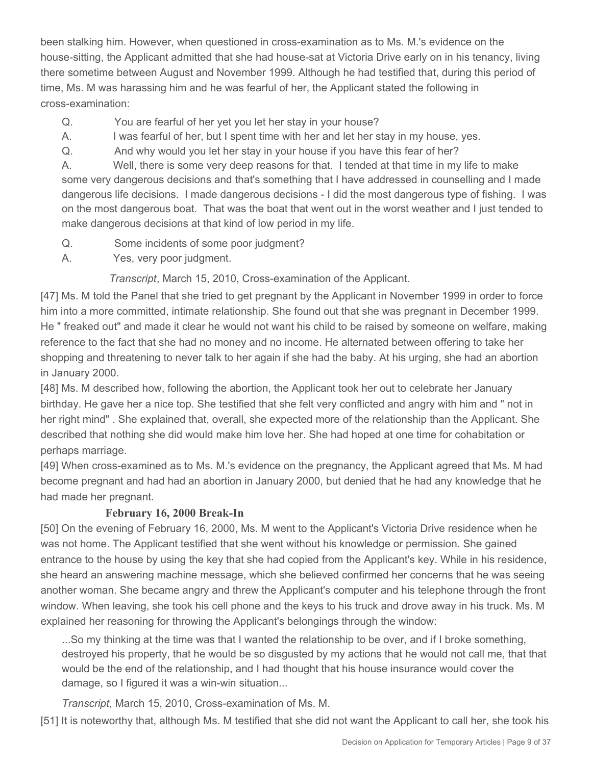been stalking him. However, when questioned in cross-examination as to Ms. M.'s evidence on the house-sitting, the Applicant admitted that she had house-sat at Victoria Drive early on in his tenancy, living there sometime between August and November 1999. Although he had testified that, during this period of time, Ms. M was harassing him and he was fearful of her, the Applicant stated the following in cross-examination:

- Q. You are fearful of her yet you let her stay in your house?
- A. I was fearful of her, but I spent time with her and let her stay in my house, yes.
- Q. And why would you let her stay in your house if you have this fear of her?

A. Well, there is some very deep reasons for that. I tended at that time in my life to make some very dangerous decisions and that's something that I have addressed in counselling and I made dangerous life decisions. I made dangerous decisions - I did the most dangerous type of fishing. I was on the most dangerous boat. That was the boat that went out in the worst weather and I just tended to make dangerous decisions at that kind of low period in my life.

- Q. Some incidents of some poor judgment?
- A. Yes, very poor judgment.

 *Transcript*, March 15, 2010, Cross-examination of the Applicant.

[47] Ms. M told the Panel that she tried to get pregnant by the Applicant in November 1999 in order to force him into a more committed, intimate relationship. She found out that she was pregnant in December 1999. He " freaked out" and made it clear he would not want his child to be raised by someone on welfare, making reference to the fact that she had no money and no income. He alternated between offering to take her shopping and threatening to never talk to her again if she had the baby. At his urging, she had an abortion in January 2000.

[48] Ms. M described how, following the abortion, the Applicant took her out to celebrate her January birthday. He gave her a nice top. She testified that she felt very conflicted and angry with him and " not in her right mind" . She explained that, overall, she expected more of the relationship than the Applicant. She described that nothing she did would make him love her. She had hoped at one time for cohabitation or perhaps marriage.

[49] When cross-examined as to Ms. M.'s evidence on the pregnancy, the Applicant agreed that Ms. M had become pregnant and had had an abortion in January 2000, but denied that he had any knowledge that he had made her pregnant.

# **February 16, 2000 Break-In**

[50] On the evening of February 16, 2000, Ms. M went to the Applicant's Victoria Drive residence when he was not home. The Applicant testified that she went without his knowledge or permission. She gained entrance to the house by using the key that she had copied from the Applicant's key. While in his residence, she heard an answering machine message, which she believed confirmed her concerns that he was seeing another woman. She became angry and threw the Applicant's computer and his telephone through the front window. When leaving, she took his cell phone and the keys to his truck and drove away in his truck. Ms. M explained her reasoning for throwing the Applicant's belongings through the window:

...So my thinking at the time was that I wanted the relationship to be over, and if I broke something, destroyed his property, that he would be so disgusted by my actions that he would not call me, that that would be the end of the relationship, and I had thought that his house insurance would cover the damage, so I figured it was a win-win situation...

*Transcript*, March 15, 2010, Cross-examination of Ms. M.

[51] It is noteworthy that, although Ms. M testified that she did not want the Applicant to call her, she took his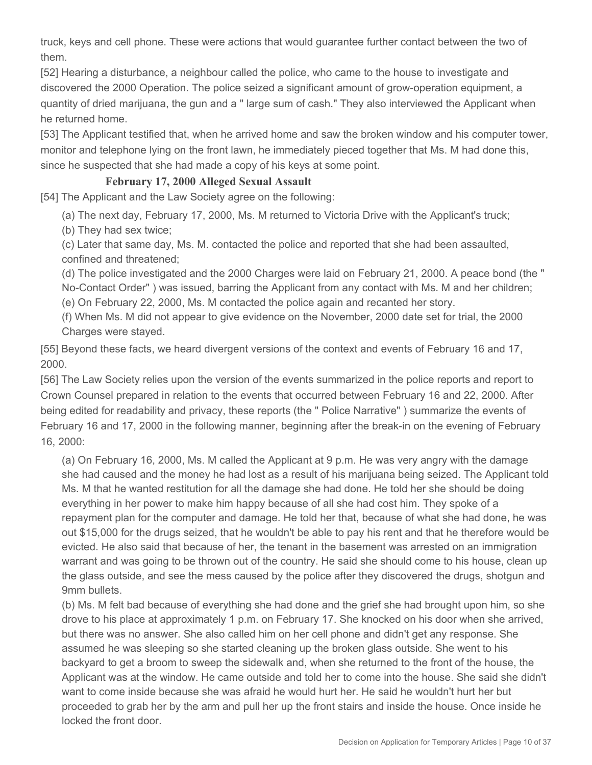truck, keys and cell phone. These were actions that would guarantee further contact between the two of them.

[52] Hearing a disturbance, a neighbour called the police, who came to the house to investigate and discovered the 2000 Operation. The police seized a significant amount of grow-operation equipment, a quantity of dried marijuana, the gun and a " large sum of cash." They also interviewed the Applicant when he returned home.

[53] The Applicant testified that, when he arrived home and saw the broken window and his computer tower, monitor and telephone lying on the front lawn, he immediately pieced together that Ms. M had done this, since he suspected that she had made a copy of his keys at some point.

## **February 17, 2000 Alleged Sexual Assault**

[54] The Applicant and the Law Society agree on the following:

(a) The next day, February 17, 2000, Ms. M returned to Victoria Drive with the Applicant's truck;

(b) They had sex twice;

(c) Later that same day, Ms. M. contacted the police and reported that she had been assaulted, confined and threatened;

(d) The police investigated and the 2000 Charges were laid on February 21, 2000. A peace bond (the " No-Contact Order" ) was issued, barring the Applicant from any contact with Ms. M and her children; (e) On February 22, 2000, Ms. M contacted the police again and recanted her story.

(f) When Ms. M did not appear to give evidence on the November, 2000 date set for trial, the 2000 Charges were stayed.

[55] Beyond these facts, we heard divergent versions of the context and events of February 16 and 17, 2000.

[56] The Law Society relies upon the version of the events summarized in the police reports and report to Crown Counsel prepared in relation to the events that occurred between February 16 and 22, 2000. After being edited for readability and privacy, these reports (the " Police Narrative" ) summarize the events of February 16 and 17, 2000 in the following manner, beginning after the break-in on the evening of February 16, 2000:

(a) On February 16, 2000, Ms. M called the Applicant at 9 p.m. He was very angry with the damage she had caused and the money he had lost as a result of his marijuana being seized. The Applicant told Ms. M that he wanted restitution for all the damage she had done. He told her she should be doing everything in her power to make him happy because of all she had cost him. They spoke of a repayment plan for the computer and damage. He told her that, because of what she had done, he was out \$15,000 for the drugs seized, that he wouldn't be able to pay his rent and that he therefore would be evicted. He also said that because of her, the tenant in the basement was arrested on an immigration warrant and was going to be thrown out of the country. He said she should come to his house, clean up the glass outside, and see the mess caused by the police after they discovered the drugs, shotgun and 9mm bullets.

(b) Ms. M felt bad because of everything she had done and the grief she had brought upon him, so she drove to his place at approximately 1 p.m. on February 17. She knocked on his door when she arrived, but there was no answer. She also called him on her cell phone and didn't get any response. She assumed he was sleeping so she started cleaning up the broken glass outside. She went to his backyard to get a broom to sweep the sidewalk and, when she returned to the front of the house, the Applicant was at the window. He came outside and told her to come into the house. She said she didn't want to come inside because she was afraid he would hurt her. He said he wouldn't hurt her but proceeded to grab her by the arm and pull her up the front stairs and inside the house. Once inside he locked the front door.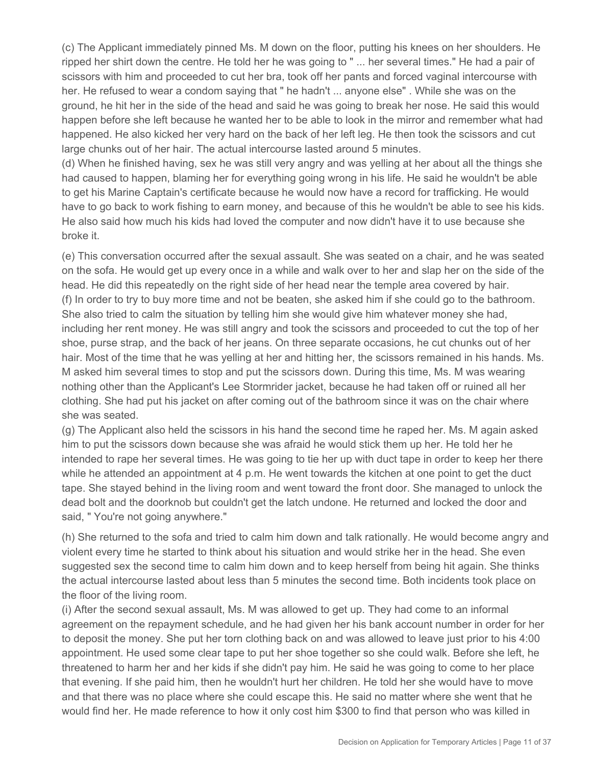(c) The Applicant immediately pinned Ms. M down on the floor, putting his knees on her shoulders. He ripped her shirt down the centre. He told her he was going to " ... her several times." He had a pair of scissors with him and proceeded to cut her bra, took off her pants and forced vaginal intercourse with her. He refused to wear a condom saying that " he hadn't ... anyone else" . While she was on the ground, he hit her in the side of the head and said he was going to break her nose. He said this would happen before she left because he wanted her to be able to look in the mirror and remember what had happened. He also kicked her very hard on the back of her left leg. He then took the scissors and cut large chunks out of her hair. The actual intercourse lasted around 5 minutes.

(d) When he finished having, sex he was still very angry and was yelling at her about all the things she had caused to happen, blaming her for everything going wrong in his life. He said he wouldn't be able to get his Marine Captain's certificate because he would now have a record for trafficking. He would have to go back to work fishing to earn money, and because of this he wouldn't be able to see his kids. He also said how much his kids had loved the computer and now didn't have it to use because she broke it.

(e) This conversation occurred after the sexual assault. She was seated on a chair, and he was seated on the sofa. He would get up every once in a while and walk over to her and slap her on the side of the head. He did this repeatedly on the right side of her head near the temple area covered by hair. (f) In order to try to buy more time and not be beaten, she asked him if she could go to the bathroom. She also tried to calm the situation by telling him she would give him whatever money she had, including her rent money. He was still angry and took the scissors and proceeded to cut the top of her shoe, purse strap, and the back of her jeans. On three separate occasions, he cut chunks out of her hair. Most of the time that he was yelling at her and hitting her, the scissors remained in his hands. Ms. M asked him several times to stop and put the scissors down. During this time, Ms. M was wearing nothing other than the Applicant's Lee Stormrider jacket, because he had taken off or ruined all her clothing. She had put his jacket on after coming out of the bathroom since it was on the chair where she was seated.

(g) The Applicant also held the scissors in his hand the second time he raped her. Ms. M again asked him to put the scissors down because she was afraid he would stick them up her. He told her he intended to rape her several times. He was going to tie her up with duct tape in order to keep her there while he attended an appointment at 4 p.m. He went towards the kitchen at one point to get the duct tape. She stayed behind in the living room and went toward the front door. She managed to unlock the dead bolt and the doorknob but couldn't get the latch undone. He returned and locked the door and said, "You're not going anywhere."

(h) She returned to the sofa and tried to calm him down and talk rationally. He would become angry and violent every time he started to think about his situation and would strike her in the head. She even suggested sex the second time to calm him down and to keep herself from being hit again. She thinks the actual intercourse lasted about less than 5 minutes the second time. Both incidents took place on the floor of the living room.

(i) After the second sexual assault, Ms. M was allowed to get up. They had come to an informal agreement on the repayment schedule, and he had given her his bank account number in order for her to deposit the money. She put her torn clothing back on and was allowed to leave just prior to his 4:00 appointment. He used some clear tape to put her shoe together so she could walk. Before she left, he threatened to harm her and her kids if she didn't pay him. He said he was going to come to her place that evening. If she paid him, then he wouldn't hurt her children. He told her she would have to move and that there was no place where she could escape this. He said no matter where she went that he would find her. He made reference to how it only cost him \$300 to find that person who was killed in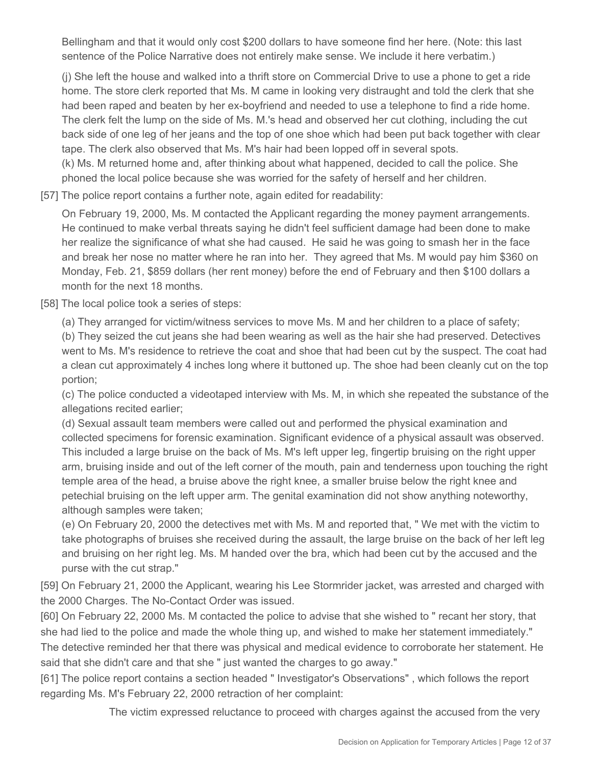Bellingham and that it would only cost \$200 dollars to have someone find her here. (Note: this last sentence of the Police Narrative does not entirely make sense. We include it here verbatim.)

(j) She left the house and walked into a thrift store on Commercial Drive to use a phone to get a ride home. The store clerk reported that Ms. M came in looking very distraught and told the clerk that she had been raped and beaten by her ex-boyfriend and needed to use a telephone to find a ride home. The clerk felt the lump on the side of Ms. M.'s head and observed her cut clothing, including the cut back side of one leg of her jeans and the top of one shoe which had been put back together with clear tape. The clerk also observed that Ms. M's hair had been lopped off in several spots. (k) Ms. M returned home and, after thinking about what happened, decided to call the police. She phoned the local police because she was worried for the safety of herself and her children.

[57] The police report contains a further note, again edited for readability:

On February 19, 2000, Ms. M contacted the Applicant regarding the money payment arrangements. He continued to make verbal threats saying he didn't feel sufficient damage had been done to make her realize the significance of what she had caused. He said he was going to smash her in the face and break her nose no matter where he ran into her. They agreed that Ms. M would pay him \$360 on Monday, Feb. 21, \$859 dollars (her rent money) before the end of February and then \$100 dollars a month for the next 18 months.

[58] The local police took a series of steps:

(a) They arranged for victim/witness services to move Ms. M and her children to a place of safety;

(b) They seized the cut jeans she had been wearing as well as the hair she had preserved. Detectives went to Ms. M's residence to retrieve the coat and shoe that had been cut by the suspect. The coat had a clean cut approximately 4 inches long where it buttoned up. The shoe had been cleanly cut on the top portion;

(c) The police conducted a videotaped interview with Ms. M, in which she repeated the substance of the allegations recited earlier;

(d) Sexual assault team members were called out and performed the physical examination and collected specimens for forensic examination. Significant evidence of a physical assault was observed. This included a large bruise on the back of Ms. M's left upper leg, fingertip bruising on the right upper arm, bruising inside and out of the left corner of the mouth, pain and tenderness upon touching the right temple area of the head, a bruise above the right knee, a smaller bruise below the right knee and petechial bruising on the left upper arm. The genital examination did not show anything noteworthy, although samples were taken;

(e) On February 20, 2000 the detectives met with Ms. M and reported that, " We met with the victim to take photographs of bruises she received during the assault, the large bruise on the back of her left leg and bruising on her right leg. Ms. M handed over the bra, which had been cut by the accused and the purse with the cut strap."

[59] On February 21, 2000 the Applicant, wearing his Lee Stormrider jacket, was arrested and charged with the 2000 Charges. The No-Contact Order was issued.

[60] On February 22, 2000 Ms. M contacted the police to advise that she wished to " recant her story, that she had lied to the police and made the whole thing up, and wished to make her statement immediately." The detective reminded her that there was physical and medical evidence to corroborate her statement. He said that she didn't care and that she " just wanted the charges to go away."

[61] The police report contains a section headed " Investigator's Observations" , which follows the report regarding Ms. M's February 22, 2000 retraction of her complaint:

The victim expressed reluctance to proceed with charges against the accused from the very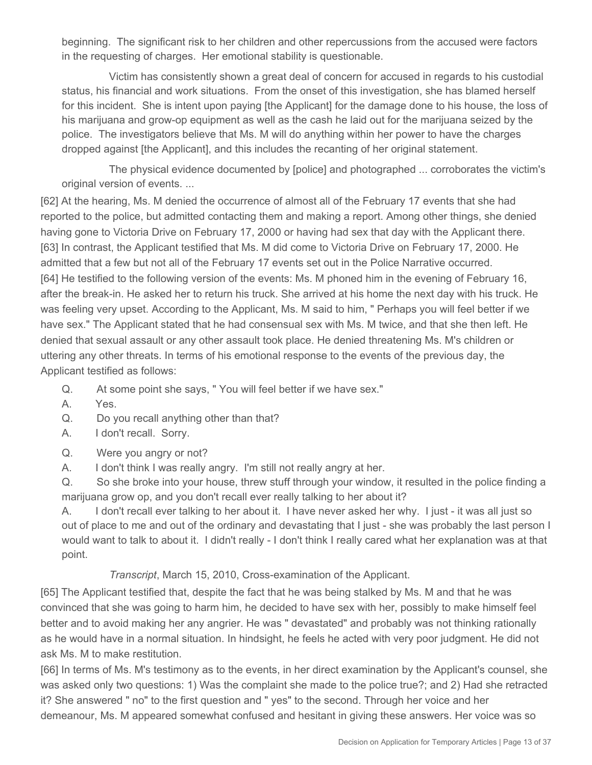beginning. The significant risk to her children and other repercussions from the accused were factors in the requesting of charges. Her emotional stability is questionable.

 Victim has consistently shown a great deal of concern for accused in regards to his custodial status, his financial and work situations. From the onset of this investigation, she has blamed herself for this incident. She is intent upon paying [the Applicant] for the damage done to his house, the loss of his marijuana and grow-op equipment as well as the cash he laid out for the marijuana seized by the police. The investigators believe that Ms. M will do anything within her power to have the charges dropped against [the Applicant], and this includes the recanting of her original statement.

 The physical evidence documented by [police] and photographed ... corroborates the victim's original version of events. ...

[62] At the hearing, Ms. M denied the occurrence of almost all of the February 17 events that she had reported to the police, but admitted contacting them and making a report. Among other things, she denied having gone to Victoria Drive on February 17, 2000 or having had sex that day with the Applicant there. [63] In contrast, the Applicant testified that Ms. M did come to Victoria Drive on February 17, 2000. He admitted that a few but not all of the February 17 events set out in the Police Narrative occurred. [64] He testified to the following version of the events: Ms. M phoned him in the evening of February 16, after the break-in. He asked her to return his truck. She arrived at his home the next day with his truck. He was feeling very upset. According to the Applicant, Ms. M said to him, " Perhaps you will feel better if we have sex." The Applicant stated that he had consensual sex with Ms. M twice, and that she then left. He denied that sexual assault or any other assault took place. He denied threatening Ms. M's children or uttering any other threats. In terms of his emotional response to the events of the previous day, the Applicant testified as follows:

Q. At some point she says, " You will feel better if we have sex."

A. Yes.

Q. Do you recall anything other than that?

- A. I don't recall. Sorry.
- Q. Were you angry or not?

A. I don't think I was really angry. I'm still not really angry at her.

Q. So she broke into your house, threw stuff through your window, it resulted in the police finding a marijuana grow op, and you don't recall ever really talking to her about it?

A. I don't recall ever talking to her about it. I have never asked her why. I just - it was all just so out of place to me and out of the ordinary and devastating that I just - she was probably the last person I would want to talk to about it. I didn't really - I don't think I really cared what her explanation was at that point.

*Transcript*, March 15, 2010, Cross-examination of the Applicant.

[65] The Applicant testified that, despite the fact that he was being stalked by Ms. M and that he was convinced that she was going to harm him, he decided to have sex with her, possibly to make himself feel better and to avoid making her any angrier. He was " devastated" and probably was not thinking rationally as he would have in a normal situation. In hindsight, he feels he acted with very poor judgment. He did not ask Ms. M to make restitution.

[66] In terms of Ms. M's testimony as to the events, in her direct examination by the Applicant's counsel, she was asked only two questions: 1) Was the complaint she made to the police true?; and 2) Had she retracted it? She answered " no" to the first question and " yes" to the second. Through her voice and her demeanour, Ms. M appeared somewhat confused and hesitant in giving these answers. Her voice was so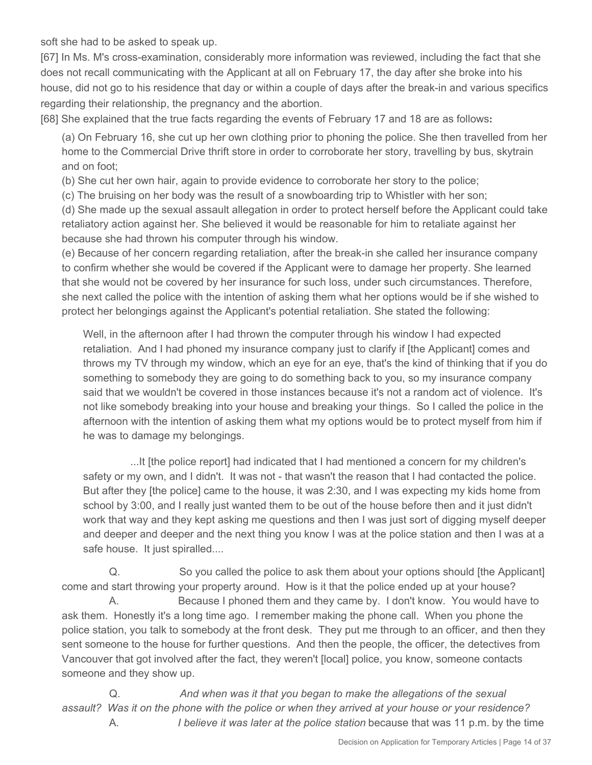soft she had to be asked to speak up.

[67] In Ms. M's cross-examination, considerably more information was reviewed, including the fact that she does not recall communicating with the Applicant at all on February 17, the day after she broke into his house, did not go to his residence that day or within a couple of days after the break-in and various specifics regarding their relationship, the pregnancy and the abortion.

[68] She explained that the true facts regarding the events of February 17 and 18 are as follows**:**

(a) On February 16, she cut up her own clothing prior to phoning the police. She then travelled from her home to the Commercial Drive thrift store in order to corroborate her story, travelling by bus, skytrain and on foot;

(b) She cut her own hair, again to provide evidence to corroborate her story to the police;

(c) The bruising on her body was the result of a snowboarding trip to Whistler with her son;

(d) She made up the sexual assault allegation in order to protect herself before the Applicant could take retaliatory action against her. She believed it would be reasonable for him to retaliate against her because she had thrown his computer through his window.

(e) Because of her concern regarding retaliation, after the break-in she called her insurance company to confirm whether she would be covered if the Applicant were to damage her property. She learned that she would not be covered by her insurance for such loss, under such circumstances. Therefore, she next called the police with the intention of asking them what her options would be if she wished to protect her belongings against the Applicant's potential retaliation. She stated the following:

Well, in the afternoon after I had thrown the computer through his window I had expected retaliation. And I had phoned my insurance company just to clarify if [the Applicant] comes and throws my TV through my window, which an eye for an eye, that's the kind of thinking that if you do something to somebody they are going to do something back to you, so my insurance company said that we wouldn't be covered in those instances because it's not a random act of violence. It's not like somebody breaking into your house and breaking your things. So I called the police in the afternoon with the intention of asking them what my options would be to protect myself from him if he was to damage my belongings.

 ...It [the police report] had indicated that I had mentioned a concern for my children's safety or my own, and I didn't. It was not - that wasn't the reason that I had contacted the police. But after they [the police] came to the house, it was 2:30, and I was expecting my kids home from school by 3:00, and I really just wanted them to be out of the house before then and it just didn't work that way and they kept asking me questions and then I was just sort of digging myself deeper and deeper and deeper and the next thing you know I was at the police station and then I was at a safe house. It just spiralled....

 Q. So you called the police to ask them about your options should [the Applicant] come and start throwing your property around. How is it that the police ended up at your house? A. Because I phoned them and they came by. I don't know. You would have to ask them. Honestly it's a long time ago. I remember making the phone call. When you phone the police station, you talk to somebody at the front desk. They put me through to an officer, and then they sent someone to the house for further questions. And then the people, the officer, the detectives from Vancouver that got involved after the fact, they weren't [local] police, you know, someone contacts someone and they show up.

 Q. *And when was it that you began to make the allegations of the sexual assault? Was it on the phone with the police or when they arrived at your house or your residence?* A. *I believe it was later at the police station* because that was 11 p.m. by the time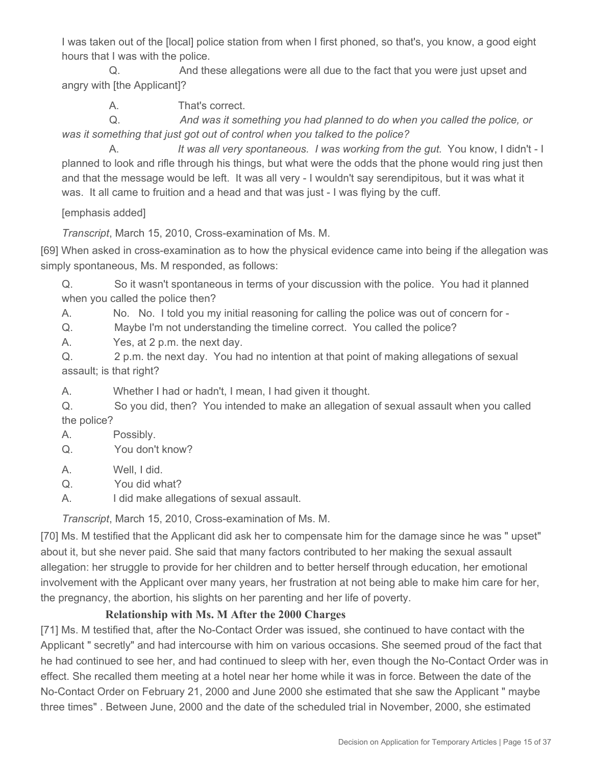I was taken out of the [local] police station from when I first phoned, so that's, you know, a good eight hours that I was with the police.

 Q. And these allegations were all due to the fact that you were just upset and angry with [the Applicant]?

A. That's correct.

 Q. *And was it something you had planned to do when you called the police, or was it something that just got out of control when you talked to the police?*

 A. *It was all very spontaneous. I was working from the gut*. You know, I didn't - I planned to look and rifle through his things, but what were the odds that the phone would ring just then and that the message would be left. It was all very - I wouldn't say serendipitous, but it was what it was. It all came to fruition and a head and that was just - I was flying by the cuff.

[emphasis added]

*Transcript*, March 15, 2010, Cross-examination of Ms. M.

[69] When asked in cross-examination as to how the physical evidence came into being if the allegation was simply spontaneous, Ms. M responded, as follows:

Q. So it wasn't spontaneous in terms of your discussion with the police. You had it planned when you called the police then?

A. No. No. I told you my initial reasoning for calling the police was out of concern for -

Q. Maybe I'm not understanding the timeline correct. You called the police?

A. Yes, at 2 p.m. the next day.

Q. 2 p.m. the next day. You had no intention at that point of making allegations of sexual assault; is that right?

A. Whether I had or hadn't, I mean, I had given it thought.

Q. So you did, then? You intended to make an allegation of sexual assault when you called the police?

A. Possibly.

Q. You don't know?

A. Well, I did.

Q. You did what?

A. I did make allegations of sexual assault.

*Transcript*, March 15, 2010, Cross-examination of Ms. M.

[70] Ms. M testified that the Applicant did ask her to compensate him for the damage since he was " upset" about it, but she never paid. She said that many factors contributed to her making the sexual assault allegation: her struggle to provide for her children and to better herself through education, her emotional involvement with the Applicant over many years, her frustration at not being able to make him care for her, the pregnancy, the abortion, his slights on her parenting and her life of poverty.

# **Relationship with Ms. M After the 2000 Charges**

[71] Ms. M testified that, after the No-Contact Order was issued, she continued to have contact with the Applicant " secretly" and had intercourse with him on various occasions. She seemed proud of the fact that he had continued to see her, and had continued to sleep with her, even though the No-Contact Order was in effect. She recalled them meeting at a hotel near her home while it was in force. Between the date of the No-Contact Order on February 21, 2000 and June 2000 she estimated that she saw the Applicant " maybe three times" . Between June, 2000 and the date of the scheduled trial in November, 2000, she estimated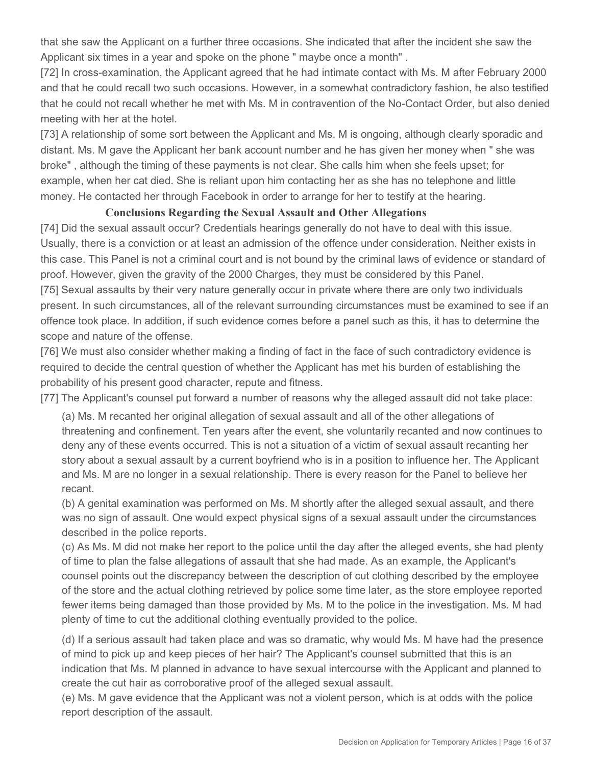that she saw the Applicant on a further three occasions. She indicated that after the incident she saw the Applicant six times in a year and spoke on the phone " maybe once a month" .

[72] In cross-examination, the Applicant agreed that he had intimate contact with Ms. M after February 2000 and that he could recall two such occasions. However, in a somewhat contradictory fashion, he also testified that he could not recall whether he met with Ms. M in contravention of the No-Contact Order, but also denied meeting with her at the hotel.

[73] A relationship of some sort between the Applicant and Ms. M is ongoing, although clearly sporadic and distant. Ms. M gave the Applicant her bank account number and he has given her money when " she was broke" , although the timing of these payments is not clear. She calls him when she feels upset; for example, when her cat died. She is reliant upon him contacting her as she has no telephone and little money. He contacted her through Facebook in order to arrange for her to testify at the hearing.

## **Conclusions Regarding the Sexual Assault and Other Allegations**

[74] Did the sexual assault occur? Credentials hearings generally do not have to deal with this issue. Usually, there is a conviction or at least an admission of the offence under consideration. Neither exists in this case. This Panel is not a criminal court and is not bound by the criminal laws of evidence or standard of proof. However, given the gravity of the 2000 Charges, they must be considered by this Panel.

[75] Sexual assaults by their very nature generally occur in private where there are only two individuals present. In such circumstances, all of the relevant surrounding circumstances must be examined to see if an offence took place. In addition, if such evidence comes before a panel such as this, it has to determine the scope and nature of the offense.

[76] We must also consider whether making a finding of fact in the face of such contradictory evidence is required to decide the central question of whether the Applicant has met his burden of establishing the probability of his present good character, repute and fitness.

[77] The Applicant's counsel put forward a number of reasons why the alleged assault did not take place:

(a) Ms. M recanted her original allegation of sexual assault and all of the other allegations of threatening and confinement. Ten years after the event, she voluntarily recanted and now continues to deny any of these events occurred. This is not a situation of a victim of sexual assault recanting her story about a sexual assault by a current boyfriend who is in a position to influence her. The Applicant and Ms. M are no longer in a sexual relationship. There is every reason for the Panel to believe her recant.

(b) A genital examination was performed on Ms. M shortly after the alleged sexual assault, and there was no sign of assault. One would expect physical signs of a sexual assault under the circumstances described in the police reports.

(c) As Ms. M did not make her report to the police until the day after the alleged events, she had plenty of time to plan the false allegations of assault that she had made. As an example, the Applicant's counsel points out the discrepancy between the description of cut clothing described by the employee of the store and the actual clothing retrieved by police some time later, as the store employee reported fewer items being damaged than those provided by Ms. M to the police in the investigation. Ms. M had plenty of time to cut the additional clothing eventually provided to the police.

(d) If a serious assault had taken place and was so dramatic, why would Ms. M have had the presence of mind to pick up and keep pieces of her hair? The Applicant's counsel submitted that this is an indication that Ms. M planned in advance to have sexual intercourse with the Applicant and planned to create the cut hair as corroborative proof of the alleged sexual assault.

(e) Ms. M gave evidence that the Applicant was not a violent person, which is at odds with the police report description of the assault.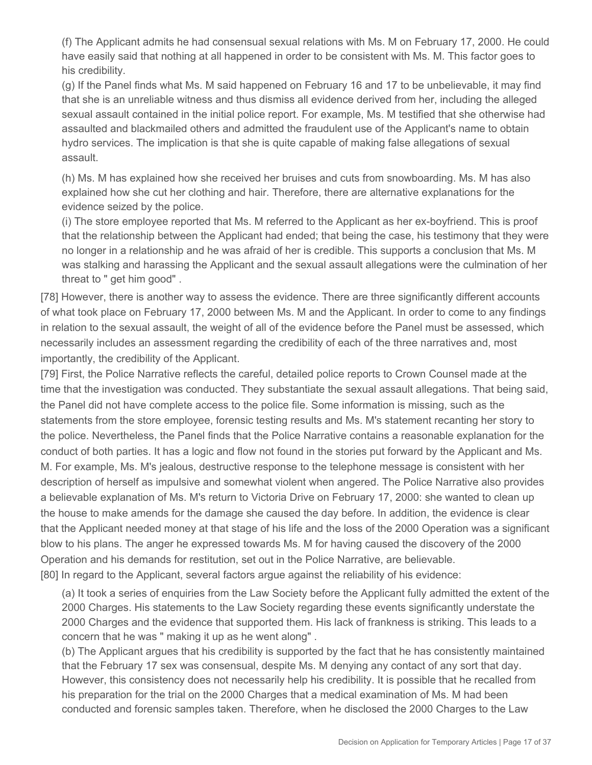(f) The Applicant admits he had consensual sexual relations with Ms. M on February 17, 2000. He could have easily said that nothing at all happened in order to be consistent with Ms. M. This factor goes to his credibility.

(g) If the Panel finds what Ms. M said happened on February 16 and 17 to be unbelievable, it may find that she is an unreliable witness and thus dismiss all evidence derived from her, including the alleged sexual assault contained in the initial police report. For example, Ms. M testified that she otherwise had assaulted and blackmailed others and admitted the fraudulent use of the Applicant's name to obtain hydro services. The implication is that she is quite capable of making false allegations of sexual assault.

(h) Ms. M has explained how she received her bruises and cuts from snowboarding. Ms. M has also explained how she cut her clothing and hair. Therefore, there are alternative explanations for the evidence seized by the police.

(i) The store employee reported that Ms. M referred to the Applicant as her ex-boyfriend. This is proof that the relationship between the Applicant had ended; that being the case, his testimony that they were no longer in a relationship and he was afraid of her is credible. This supports a conclusion that Ms. M was stalking and harassing the Applicant and the sexual assault allegations were the culmination of her threat to " get him good" .

[78] However, there is another way to assess the evidence. There are three significantly different accounts of what took place on February 17, 2000 between Ms. M and the Applicant. In order to come to any findings in relation to the sexual assault, the weight of all of the evidence before the Panel must be assessed, which necessarily includes an assessment regarding the credibility of each of the three narratives and, most importantly, the credibility of the Applicant.

[79] First, the Police Narrative reflects the careful, detailed police reports to Crown Counsel made at the time that the investigation was conducted. They substantiate the sexual assault allegations. That being said, the Panel did not have complete access to the police file. Some information is missing, such as the statements from the store employee, forensic testing results and Ms. M's statement recanting her story to the police. Nevertheless, the Panel finds that the Police Narrative contains a reasonable explanation for the conduct of both parties. It has a logic and flow not found in the stories put forward by the Applicant and Ms. M. For example, Ms. M's jealous, destructive response to the telephone message is consistent with her description of herself as impulsive and somewhat violent when angered. The Police Narrative also provides a believable explanation of Ms. M's return to Victoria Drive on February 17, 2000: she wanted to clean up the house to make amends for the damage she caused the day before. In addition, the evidence is clear that the Applicant needed money at that stage of his life and the loss of the 2000 Operation was a significant blow to his plans. The anger he expressed towards Ms. M for having caused the discovery of the 2000 Operation and his demands for restitution, set out in the Police Narrative, are believable. [80] In regard to the Applicant, several factors argue against the reliability of his evidence:

(a) It took a series of enquiries from the Law Society before the Applicant fully admitted the extent of the 2000 Charges. His statements to the Law Society regarding these events significantly understate the 2000 Charges and the evidence that supported them. His lack of frankness is striking. This leads to a concern that he was " making it up as he went along" .

(b) The Applicant argues that his credibility is supported by the fact that he has consistently maintained that the February 17 sex was consensual, despite Ms. M denying any contact of any sort that day. However, this consistency does not necessarily help his credibility. It is possible that he recalled from his preparation for the trial on the 2000 Charges that a medical examination of Ms. M had been conducted and forensic samples taken. Therefore, when he disclosed the 2000 Charges to the Law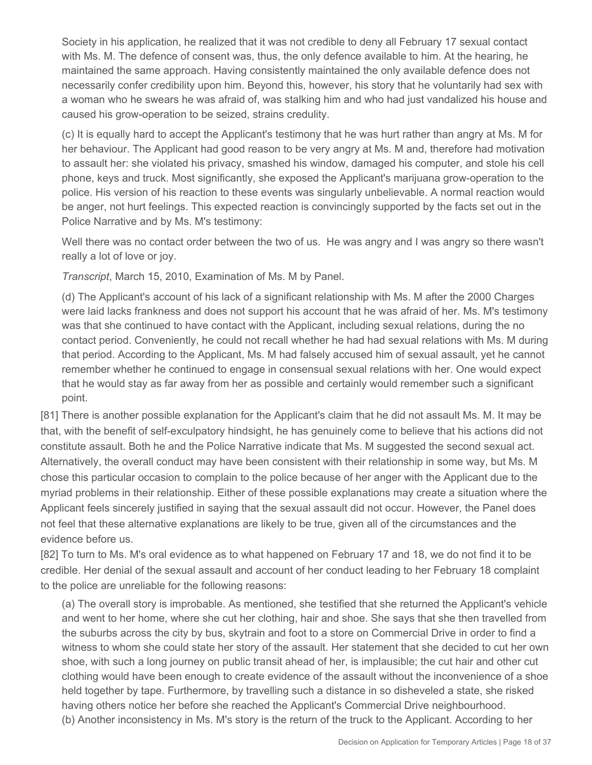Society in his application, he realized that it was not credible to deny all February 17 sexual contact with Ms. M. The defence of consent was, thus, the only defence available to him. At the hearing, he maintained the same approach. Having consistently maintained the only available defence does not necessarily confer credibility upon him. Beyond this, however, his story that he voluntarily had sex with a woman who he swears he was afraid of, was stalking him and who had just vandalized his house and caused his grow-operation to be seized, strains credulity.

(c) It is equally hard to accept the Applicant's testimony that he was hurt rather than angry at Ms. M for her behaviour. The Applicant had good reason to be very angry at Ms. M and, therefore had motivation to assault her: she violated his privacy, smashed his window, damaged his computer, and stole his cell phone, keys and truck. Most significantly, she exposed the Applicant's marijuana grow-operation to the police. His version of his reaction to these events was singularly unbelievable. A normal reaction would be anger, not hurt feelings. This expected reaction is convincingly supported by the facts set out in the Police Narrative and by Ms. M's testimony:

Well there was no contact order between the two of us. He was angry and I was angry so there wasn't really a lot of love or joy.

*Transcript*, March 15, 2010, Examination of Ms. M by Panel.

(d) The Applicant's account of his lack of a significant relationship with Ms. M after the 2000 Charges were laid lacks frankness and does not support his account that he was afraid of her. Ms. M's testimony was that she continued to have contact with the Applicant, including sexual relations, during the no contact period. Conveniently, he could not recall whether he had had sexual relations with Ms. M during that period. According to the Applicant, Ms. M had falsely accused him of sexual assault, yet he cannot remember whether he continued to engage in consensual sexual relations with her. One would expect that he would stay as far away from her as possible and certainly would remember such a significant point.

[81] There is another possible explanation for the Applicant's claim that he did not assault Ms. M. It may be that, with the benefit of self-exculpatory hindsight, he has genuinely come to believe that his actions did not constitute assault. Both he and the Police Narrative indicate that Ms. M suggested the second sexual act. Alternatively, the overall conduct may have been consistent with their relationship in some way, but Ms. M chose this particular occasion to complain to the police because of her anger with the Applicant due to the myriad problems in their relationship. Either of these possible explanations may create a situation where the Applicant feels sincerely justified in saying that the sexual assault did not occur. However, the Panel does not feel that these alternative explanations are likely to be true, given all of the circumstances and the evidence before us.

[82] To turn to Ms. M's oral evidence as to what happened on February 17 and 18, we do not find it to be credible. Her denial of the sexual assault and account of her conduct leading to her February 18 complaint to the police are unreliable for the following reasons:

(a) The overall story is improbable. As mentioned, she testified that she returned the Applicant's vehicle and went to her home, where she cut her clothing, hair and shoe. She says that she then travelled from the suburbs across the city by bus, skytrain and foot to a store on Commercial Drive in order to find a witness to whom she could state her story of the assault. Her statement that she decided to cut her own shoe, with such a long journey on public transit ahead of her, is implausible; the cut hair and other cut clothing would have been enough to create evidence of the assault without the inconvenience of a shoe held together by tape. Furthermore, by travelling such a distance in so disheveled a state, she risked having others notice her before she reached the Applicant's Commercial Drive neighbourhood. (b) Another inconsistency in Ms. M's story is the return of the truck to the Applicant. According to her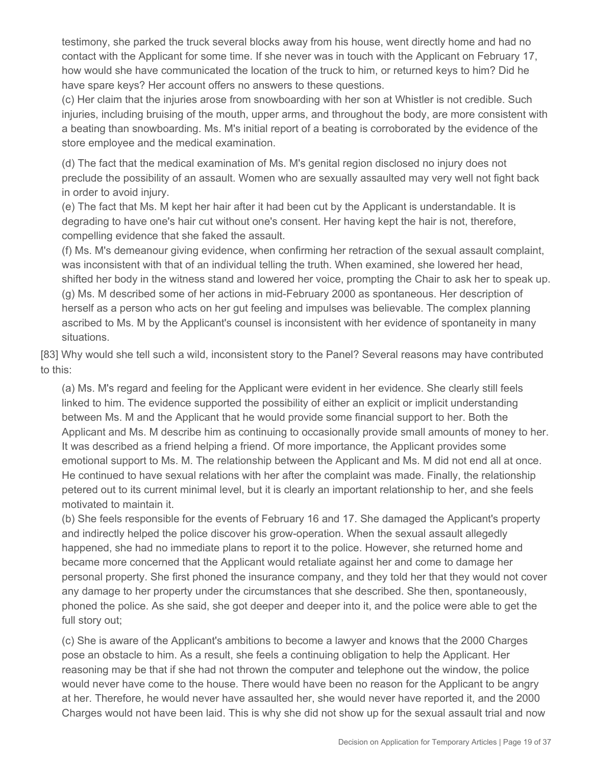testimony, she parked the truck several blocks away from his house, went directly home and had no contact with the Applicant for some time. If she never was in touch with the Applicant on February 17, how would she have communicated the location of the truck to him, or returned keys to him? Did he have spare keys? Her account offers no answers to these questions.

(c) Her claim that the injuries arose from snowboarding with her son at Whistler is not credible. Such injuries, including bruising of the mouth, upper arms, and throughout the body, are more consistent with a beating than snowboarding. Ms. M's initial report of a beating is corroborated by the evidence of the store employee and the medical examination.

(d) The fact that the medical examination of Ms. M's genital region disclosed no injury does not preclude the possibility of an assault. Women who are sexually assaulted may very well not fight back in order to avoid injury.

(e) The fact that Ms. M kept her hair after it had been cut by the Applicant is understandable. It is degrading to have one's hair cut without one's consent. Her having kept the hair is not, therefore, compelling evidence that she faked the assault.

(f) Ms. M's demeanour giving evidence, when confirming her retraction of the sexual assault complaint, was inconsistent with that of an individual telling the truth. When examined, she lowered her head, shifted her body in the witness stand and lowered her voice, prompting the Chair to ask her to speak up. (g) Ms. M described some of her actions in mid-February 2000 as spontaneous. Her description of herself as a person who acts on her gut feeling and impulses was believable. The complex planning ascribed to Ms. M by the Applicant's counsel is inconsistent with her evidence of spontaneity in many situations.

[83] Why would she tell such a wild, inconsistent story to the Panel? Several reasons may have contributed to this:

(a) Ms. M's regard and feeling for the Applicant were evident in her evidence. She clearly still feels linked to him. The evidence supported the possibility of either an explicit or implicit understanding between Ms. M and the Applicant that he would provide some financial support to her. Both the Applicant and Ms. M describe him as continuing to occasionally provide small amounts of money to her. It was described as a friend helping a friend. Of more importance, the Applicant provides some emotional support to Ms. M. The relationship between the Applicant and Ms. M did not end all at once. He continued to have sexual relations with her after the complaint was made. Finally, the relationship petered out to its current minimal level, but it is clearly an important relationship to her, and she feels motivated to maintain it.

(b) She feels responsible for the events of February 16 and 17. She damaged the Applicant's property and indirectly helped the police discover his grow-operation. When the sexual assault allegedly happened, she had no immediate plans to report it to the police. However, she returned home and became more concerned that the Applicant would retaliate against her and come to damage her personal property. She first phoned the insurance company, and they told her that they would not cover any damage to her property under the circumstances that she described. She then, spontaneously, phoned the police. As she said, she got deeper and deeper into it, and the police were able to get the full story out;

(c) She is aware of the Applicant's ambitions to become a lawyer and knows that the 2000 Charges pose an obstacle to him. As a result, she feels a continuing obligation to help the Applicant. Her reasoning may be that if she had not thrown the computer and telephone out the window, the police would never have come to the house. There would have been no reason for the Applicant to be angry at her. Therefore, he would never have assaulted her, she would never have reported it, and the 2000 Charges would not have been laid. This is why she did not show up for the sexual assault trial and now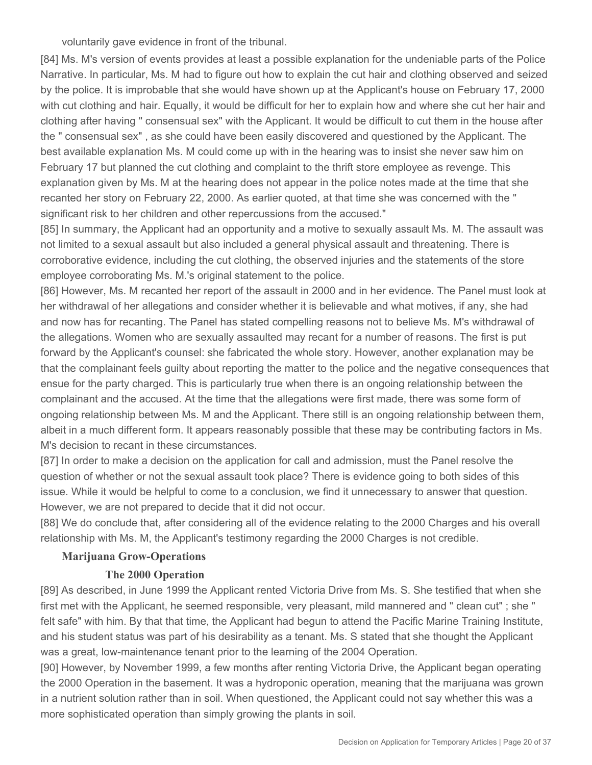voluntarily gave evidence in front of the tribunal.

[84] Ms. M's version of events provides at least a possible explanation for the undeniable parts of the Police Narrative. In particular, Ms. M had to figure out how to explain the cut hair and clothing observed and seized by the police. It is improbable that she would have shown up at the Applicant's house on February 17, 2000 with cut clothing and hair. Equally, it would be difficult for her to explain how and where she cut her hair and clothing after having " consensual sex" with the Applicant. It would be difficult to cut them in the house after the " consensual sex" , as she could have been easily discovered and questioned by the Applicant. The best available explanation Ms. M could come up with in the hearing was to insist she never saw him on February 17 but planned the cut clothing and complaint to the thrift store employee as revenge. This explanation given by Ms. M at the hearing does not appear in the police notes made at the time that she recanted her story on February 22, 2000. As earlier quoted, at that time she was concerned with the " significant risk to her children and other repercussions from the accused."

[85] In summary, the Applicant had an opportunity and a motive to sexually assault Ms. M. The assault was not limited to a sexual assault but also included a general physical assault and threatening. There is corroborative evidence, including the cut clothing, the observed injuries and the statements of the store employee corroborating Ms. M.'s original statement to the police.

[86] However, Ms. M recanted her report of the assault in 2000 and in her evidence. The Panel must look at her withdrawal of her allegations and consider whether it is believable and what motives, if any, she had and now has for recanting. The Panel has stated compelling reasons not to believe Ms. M's withdrawal of the allegations. Women who are sexually assaulted may recant for a number of reasons. The first is put forward by the Applicant's counsel: she fabricated the whole story. However, another explanation may be that the complainant feels guilty about reporting the matter to the police and the negative consequences that ensue for the party charged. This is particularly true when there is an ongoing relationship between the complainant and the accused. At the time that the allegations were first made, there was some form of ongoing relationship between Ms. M and the Applicant. There still is an ongoing relationship between them, albeit in a much different form. It appears reasonably possible that these may be contributing factors in Ms. M's decision to recant in these circumstances.

[87] In order to make a decision on the application for call and admission, must the Panel resolve the question of whether or not the sexual assault took place? There is evidence going to both sides of this issue. While it would be helpful to come to a conclusion, we find it unnecessary to answer that question. However, we are not prepared to decide that it did not occur.

[88] We do conclude that, after considering all of the evidence relating to the 2000 Charges and his overall relationship with Ms. M, the Applicant's testimony regarding the 2000 Charges is not credible.

### **Marijuana Grow-Operations**

#### **The 2000 Operation**

[89] As described, in June 1999 the Applicant rented Victoria Drive from Ms. S. She testified that when she first met with the Applicant, he seemed responsible, very pleasant, mild mannered and " clean cut" ; she " felt safe" with him. By that that time, the Applicant had begun to attend the Pacific Marine Training Institute, and his student status was part of his desirability as a tenant. Ms. S stated that she thought the Applicant was a great, low-maintenance tenant prior to the learning of the 2004 Operation.

[90] However, by November 1999, a few months after renting Victoria Drive, the Applicant began operating the 2000 Operation in the basement. It was a hydroponic operation, meaning that the marijuana was grown in a nutrient solution rather than in soil. When questioned, the Applicant could not say whether this was a more sophisticated operation than simply growing the plants in soil.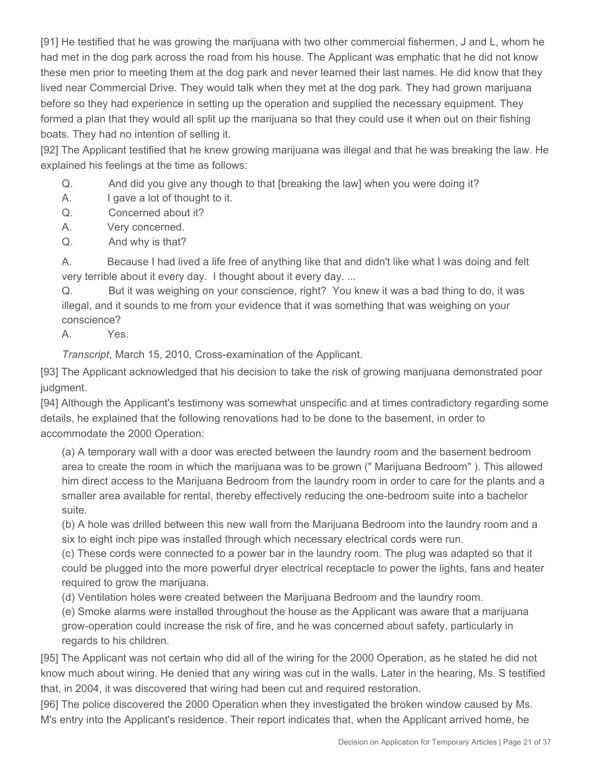[91] He testified that he was growing the marijuana with two other commercial fishermen, J and L, whom he had met in the dog park across the road from his house. The Applicant was emphatic that he did not know these men prior to meeting them at the dog park and never learned their last names. He did know that they lived near Commercial Drive. They would talk when they met at the dog park. They had grown marijuana before so they had experience in setting up the operation and supplied the necessary equipment. They formed a plan that they would all split up the marijuana so that they could use it when out on their fishing boats. They had no intention of selling it.

[92] The Applicant testified that he knew growing marijuana was illegal and that he was breaking the law. He explained his feelings at the time as follows:

- Q. And did you give any though to that [breaking the law] when you were doing it?
- A. I gave a lot of thought to it.
- Q. Concerned about it?
- A. Very concerned.
- Q. And why is that?

A. Because I had lived a life free of anything like that and didn't like what I was doing and felt very terrible about it every day. I thought about it every day. ...

Q. But it was weighing on your conscience, right? You knew it was a bad thing to do, it was illegal, and it sounds to me from your evidence that it was something that was weighing on your conscience?

A. Yes.

*Transcript*, March 15, 2010, Cross-examination of the Applicant.

[93] The Applicant acknowledged that his decision to take the risk of growing marijuana demonstrated poor judgment.

[94] Although the Applicant's testimony was somewhat unspecific and at times contradictory regarding some details, he explained that the following renovations had to be done to the basement, in order to accommodate the 2000 Operation:

(a) A temporary wall with a door was erected between the laundry room and the basement bedroom area to create the room in which the marijuana was to be grown (" Marijuana Bedroom" ). This allowed him direct access to the Marijuana Bedroom from the laundry room in order to care for the plants and a smaller area available for rental, thereby effectively reducing the one-bedroom suite into a bachelor suite.

(b) A hole was drilled between this new wall from the Marijuana Bedroom into the laundry room and a six to eight inch pipe was installed through which necessary electrical cords were run.

(c) These cords were connected to a power bar in the laundry room. The plug was adapted so that it could be plugged into the more powerful dryer electrical receptacle to power the lights, fans and heater required to grow the marijuana.

(d) Ventilation holes were created between the Marijuana Bedroom and the laundry room.

(e) Smoke alarms were installed throughout the house as the Applicant was aware that a marijuana grow-operation could increase the risk of fire, and he was concerned about safety, particularly in regards to his children.

[95] The Applicant was not certain who did all of the wiring for the 2000 Operation, as he stated he did not know much about wiring. He denied that any wiring was cut in the walls. Later in the hearing, Ms. S testified that, in 2004, it was discovered that wiring had been cut and required restoration.

[96] The police discovered the 2000 Operation when they investigated the broken window caused by Ms. M's entry into the Applicant's residence. Their report indicates that, when the Applicant arrived home, he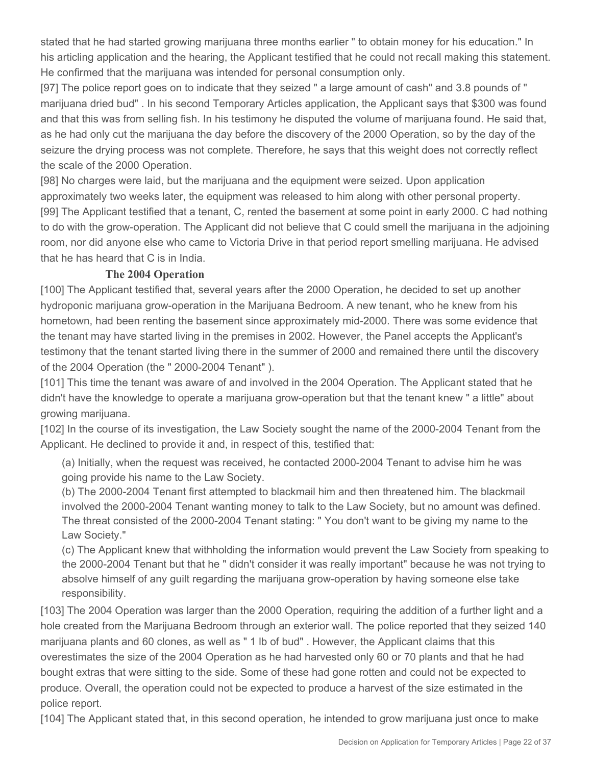stated that he had started growing marijuana three months earlier " to obtain money for his education." In his articling application and the hearing, the Applicant testified that he could not recall making this statement. He confirmed that the marijuana was intended for personal consumption only.

[97] The police report goes on to indicate that they seized " a large amount of cash" and 3.8 pounds of " marijuana dried bud" . In his second Temporary Articles application, the Applicant says that \$300 was found and that this was from selling fish. In his testimony he disputed the volume of marijuana found. He said that, as he had only cut the marijuana the day before the discovery of the 2000 Operation, so by the day of the seizure the drying process was not complete. Therefore, he says that this weight does not correctly reflect the scale of the 2000 Operation.

[98] No charges were laid, but the marijuana and the equipment were seized. Upon application approximately two weeks later, the equipment was released to him along with other personal property. [99] The Applicant testified that a tenant, C, rented the basement at some point in early 2000. C had nothing to do with the grow-operation. The Applicant did not believe that C could smell the marijuana in the adjoining room, nor did anyone else who came to Victoria Drive in that period report smelling marijuana. He advised that he has heard that C is in India.

## **The 2004 Operation**

[100] The Applicant testified that, several years after the 2000 Operation, he decided to set up another hydroponic marijuana grow-operation in the Marijuana Bedroom. A new tenant, who he knew from his hometown, had been renting the basement since approximately mid-2000. There was some evidence that the tenant may have started living in the premises in 2002. However, the Panel accepts the Applicant's testimony that the tenant started living there in the summer of 2000 and remained there until the discovery of the 2004 Operation (the " 2000-2004 Tenant" ).

[101] This time the tenant was aware of and involved in the 2004 Operation. The Applicant stated that he didn't have the knowledge to operate a marijuana grow-operation but that the tenant knew " a little" about growing marijuana.

[102] In the course of its investigation, the Law Society sought the name of the 2000-2004 Tenant from the Applicant. He declined to provide it and, in respect of this, testified that:

(a) Initially, when the request was received, he contacted 2000-2004 Tenant to advise him he was going provide his name to the Law Society.

(b) The 2000-2004 Tenant first attempted to blackmail him and then threatened him. The blackmail involved the 2000-2004 Tenant wanting money to talk to the Law Society, but no amount was defined. The threat consisted of the 2000-2004 Tenant stating: " You don't want to be giving my name to the Law Society."

(c) The Applicant knew that withholding the information would prevent the Law Society from speaking to the 2000-2004 Tenant but that he " didn't consider it was really important" because he was not trying to absolve himself of any guilt regarding the marijuana grow-operation by having someone else take responsibility.

[103] The 2004 Operation was larger than the 2000 Operation, requiring the addition of a further light and a hole created from the Marijuana Bedroom through an exterior wall. The police reported that they seized 140 marijuana plants and 60 clones, as well as " 1 lb of bud" . However, the Applicant claims that this overestimates the size of the 2004 Operation as he had harvested only 60 or 70 plants and that he had bought extras that were sitting to the side. Some of these had gone rotten and could not be expected to produce. Overall, the operation could not be expected to produce a harvest of the size estimated in the police report.

[104] The Applicant stated that, in this second operation, he intended to grow marijuana just once to make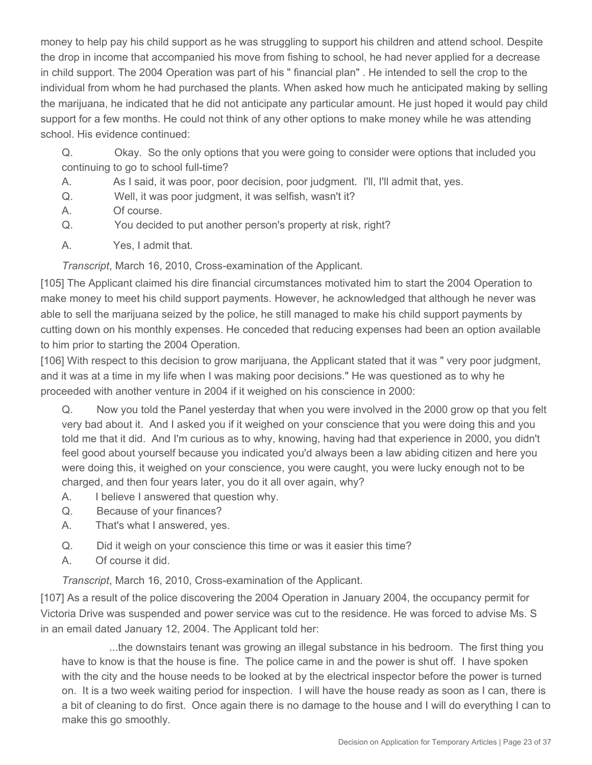money to help pay his child support as he was struggling to support his children and attend school. Despite the drop in income that accompanied his move from fishing to school, he had never applied for a decrease in child support. The 2004 Operation was part of his " financial plan" . He intended to sell the crop to the individual from whom he had purchased the plants. When asked how much he anticipated making by selling the marijuana, he indicated that he did not anticipate any particular amount. He just hoped it would pay child support for a few months. He could not think of any other options to make money while he was attending school. His evidence continued:

Q. Okay. So the only options that you were going to consider were options that included you continuing to go to school full-time?

- A. As I said, it was poor, poor decision, poor judgment. I'll, I'll admit that, yes.
- Q. Well, it was poor judgment, it was selfish, wasn't it?
- A. Of course.
- Q. You decided to put another person's property at risk, right?
- A. Yes, I admit that.

*Transcript*, March 16, 2010, Cross-examination of the Applicant.

[105] The Applicant claimed his dire financial circumstances motivated him to start the 2004 Operation to make money to meet his child support payments. However, he acknowledged that although he never was able to sell the marijuana seized by the police, he still managed to make his child support payments by cutting down on his monthly expenses. He conceded that reducing expenses had been an option available to him prior to starting the 2004 Operation.

[106] With respect to this decision to grow marijuana, the Applicant stated that it was " very poor judgment, and it was at a time in my life when I was making poor decisions." He was questioned as to why he proceeded with another venture in 2004 if it weighed on his conscience in 2000:

Q. Now you told the Panel yesterday that when you were involved in the 2000 grow op that you felt very bad about it. And I asked you if it weighed on your conscience that you were doing this and you told me that it did. And I'm curious as to why, knowing, having had that experience in 2000, you didn't feel good about yourself because you indicated you'd always been a law abiding citizen and here you were doing this, it weighed on your conscience, you were caught, you were lucky enough not to be charged, and then four years later, you do it all over again, why?

- A. I believe I answered that question why.
- Q. Because of your finances?
- A. That's what I answered, yes.
- Q. Did it weigh on your conscience this time or was it easier this time?
- A. Of course it did.

*Transcript*, March 16, 2010, Cross-examination of the Applicant.

[107] As a result of the police discovering the 2004 Operation in January 2004, the occupancy permit for Victoria Drive was suspended and power service was cut to the residence. He was forced to advise Ms. S in an email dated January 12, 2004. The Applicant told her:

...the downstairs tenant was growing an illegal substance in his bedroom. The first thing you have to know is that the house is fine. The police came in and the power is shut off. I have spoken with the city and the house needs to be looked at by the electrical inspector before the power is turned on. It is a two week waiting period for inspection. I will have the house ready as soon as I can, there is a bit of cleaning to do first. Once again there is no damage to the house and I will do everything I can to make this go smoothly.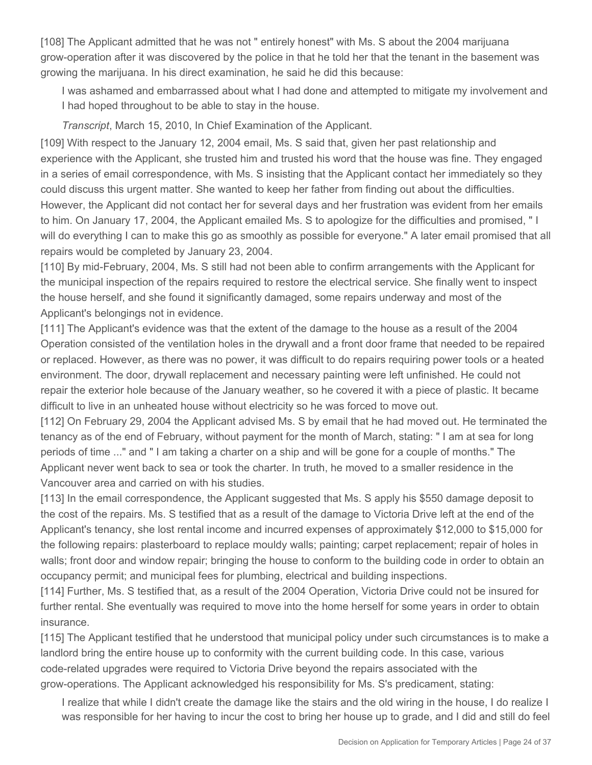[108] The Applicant admitted that he was not " entirely honest" with Ms. S about the 2004 marijuana grow-operation after it was discovered by the police in that he told her that the tenant in the basement was growing the marijuana. In his direct examination, he said he did this because:

I was ashamed and embarrassed about what I had done and attempted to mitigate my involvement and I had hoped throughout to be able to stay in the house.

*Transcript*, March 15, 2010, In Chief Examination of the Applicant.

[109] With respect to the January 12, 2004 email, Ms. S said that, given her past relationship and experience with the Applicant, she trusted him and trusted his word that the house was fine. They engaged in a series of email correspondence, with Ms. S insisting that the Applicant contact her immediately so they could discuss this urgent matter. She wanted to keep her father from finding out about the difficulties. However, the Applicant did not contact her for several days and her frustration was evident from her emails to him. On January 17, 2004, the Applicant emailed Ms. S to apologize for the difficulties and promised, " I will do everything I can to make this go as smoothly as possible for everyone." A later email promised that all repairs would be completed by January 23, 2004.

[110] By mid-February, 2004, Ms. S still had not been able to confirm arrangements with the Applicant for the municipal inspection of the repairs required to restore the electrical service. She finally went to inspect the house herself, and she found it significantly damaged, some repairs underway and most of the Applicant's belongings not in evidence.

[111] The Applicant's evidence was that the extent of the damage to the house as a result of the 2004 Operation consisted of the ventilation holes in the drywall and a front door frame that needed to be repaired or replaced. However, as there was no power, it was difficult to do repairs requiring power tools or a heated environment. The door, drywall replacement and necessary painting were left unfinished. He could not repair the exterior hole because of the January weather, so he covered it with a piece of plastic. It became difficult to live in an unheated house without electricity so he was forced to move out.

[112] On February 29, 2004 the Applicant advised Ms. S by email that he had moved out. He terminated the tenancy as of the end of February, without payment for the month of March, stating: " I am at sea for long periods of time ..." and " I am taking a charter on a ship and will be gone for a couple of months." The Applicant never went back to sea or took the charter. In truth, he moved to a smaller residence in the Vancouver area and carried on with his studies.

[113] In the email correspondence, the Applicant suggested that Ms. S apply his \$550 damage deposit to the cost of the repairs. Ms. S testified that as a result of the damage to Victoria Drive left at the end of the Applicant's tenancy, she lost rental income and incurred expenses of approximately \$12,000 to \$15,000 for the following repairs: plasterboard to replace mouldy walls; painting; carpet replacement; repair of holes in walls; front door and window repair; bringing the house to conform to the building code in order to obtain an occupancy permit; and municipal fees for plumbing, electrical and building inspections.

[114] Further, Ms. S testified that, as a result of the 2004 Operation, Victoria Drive could not be insured for further rental. She eventually was required to move into the home herself for some years in order to obtain insurance.

[115] The Applicant testified that he understood that municipal policy under such circumstances is to make a landlord bring the entire house up to conformity with the current building code. In this case, various code-related upgrades were required to Victoria Drive beyond the repairs associated with the grow-operations. The Applicant acknowledged his responsibility for Ms. S's predicament, stating:

I realize that while I didn't create the damage like the stairs and the old wiring in the house, I do realize I was responsible for her having to incur the cost to bring her house up to grade, and I did and still do feel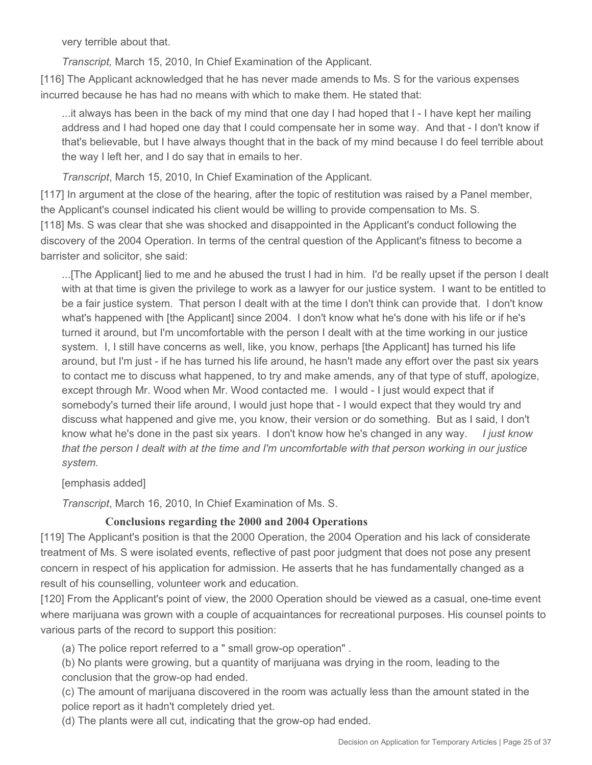very terrible about that.

*Transcript,* March 15, 2010, In Chief Examination of the Applicant.

[116] The Applicant acknowledged that he has never made amends to Ms. S for the various expenses incurred because he has had no means with which to make them. He stated that:

...it always has been in the back of my mind that one day I had hoped that I - I have kept her mailing address and I had hoped one day that I could compensate her in some way. And that - I don't know if that's believable, but I have always thought that in the back of my mind because I do feel terrible about the way I left her, and I do say that in emails to her.

*Transcript*, March 15, 2010, In Chief Examination of the Applicant.

[117] In argument at the close of the hearing, after the topic of restitution was raised by a Panel member, the Applicant's counsel indicated his client would be willing to provide compensation to Ms. S. [118] Ms. S was clear that she was shocked and disappointed in the Applicant's conduct following the discovery of the 2004 Operation. In terms of the central question of the Applicant's fitness to become a barrister and solicitor, she said:

...[The Applicant] lied to me and he abused the trust I had in him. I'd be really upset if the person I dealt with at that time is given the privilege to work as a lawyer for our justice system. I want to be entitled to be a fair justice system. That person I dealt with at the time I don't think can provide that. I don't know what's happened with [the Applicant] since 2004. I don't know what he's done with his life or if he's turned it around, but I'm uncomfortable with the person I dealt with at the time working in our justice system. I, I still have concerns as well, like, you know, perhaps [the Applicant] has turned his life around, but I'm just - if he has turned his life around, he hasn't made any effort over the past six years to contact me to discuss what happened, to try and make amends, any of that type of stuff, apologize, except through Mr. Wood when Mr. Wood contacted me. I would - I just would expect that if somebody's turned their life around, I would just hope that - I would expect that they would try and discuss what happened and give me, you know, their version or do something. But as I said, I don't know what he's done in the past six years. I don't know how he's changed in any way. *I just know that the person I dealt with at the time and I'm uncomfortable with that person working in our justice system.*

### [emphasis added]

*Transcript*, March 16, 2010, In Chief Examination of Ms. S.

# **Conclusions regarding the 2000 and 2004 Operations**

[119] The Applicant's position is that the 2000 Operation, the 2004 Operation and his lack of considerate treatment of Ms. S were isolated events, reflective of past poor judgment that does not pose any present concern in respect of his application for admission. He asserts that he has fundamentally changed as a result of his counselling, volunteer work and education.

[120] From the Applicant's point of view, the 2000 Operation should be viewed as a casual, one-time event where marijuana was grown with a couple of acquaintances for recreational purposes. His counsel points to various parts of the record to support this position:

(a) The police report referred to a " small grow-op operation" .

(b) No plants were growing, but a quantity of marijuana was drying in the room, leading to the conclusion that the grow-op had ended.

(c) The amount of marijuana discovered in the room was actually less than the amount stated in the police report as it hadn't completely dried yet.

(d) The plants were all cut, indicating that the grow-op had ended.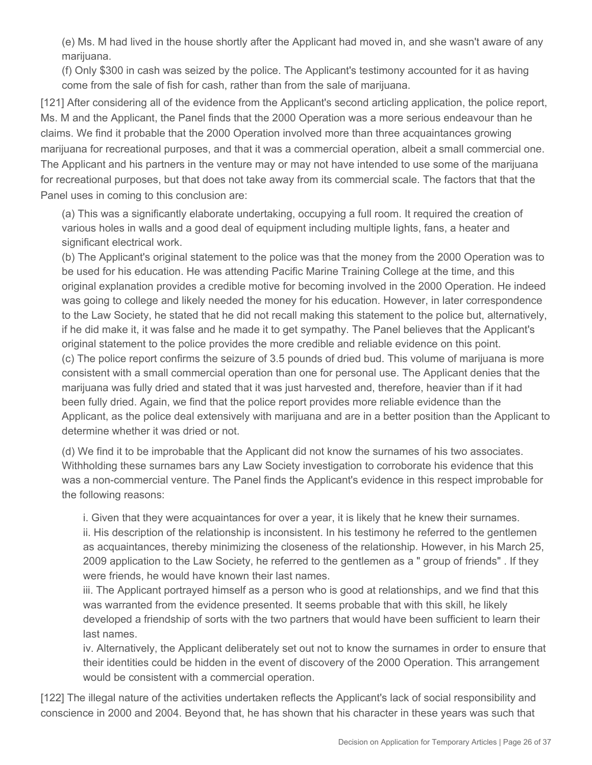(e) Ms. M had lived in the house shortly after the Applicant had moved in, and she wasn't aware of any marijuana.

(f) Only \$300 in cash was seized by the police. The Applicant's testimony accounted for it as having come from the sale of fish for cash, rather than from the sale of marijuana.

[121] After considering all of the evidence from the Applicant's second articling application, the police report, Ms. M and the Applicant, the Panel finds that the 2000 Operation was a more serious endeavour than he claims. We find it probable that the 2000 Operation involved more than three acquaintances growing marijuana for recreational purposes, and that it was a commercial operation, albeit a small commercial one. The Applicant and his partners in the venture may or may not have intended to use some of the marijuana for recreational purposes, but that does not take away from its commercial scale. The factors that that the Panel uses in coming to this conclusion are:

(a) This was a significantly elaborate undertaking, occupying a full room. It required the creation of various holes in walls and a good deal of equipment including multiple lights, fans, a heater and significant electrical work.

(b) The Applicant's original statement to the police was that the money from the 2000 Operation was to be used for his education. He was attending Pacific Marine Training College at the time, and this original explanation provides a credible motive for becoming involved in the 2000 Operation. He indeed was going to college and likely needed the money for his education. However, in later correspondence to the Law Society, he stated that he did not recall making this statement to the police but, alternatively, if he did make it, it was false and he made it to get sympathy. The Panel believes that the Applicant's original statement to the police provides the more credible and reliable evidence on this point. (c) The police report confirms the seizure of 3.5 pounds of dried bud. This volume of marijuana is more consistent with a small commercial operation than one for personal use. The Applicant denies that the marijuana was fully dried and stated that it was just harvested and, therefore, heavier than if it had been fully dried. Again, we find that the police report provides more reliable evidence than the Applicant, as the police deal extensively with marijuana and are in a better position than the Applicant to determine whether it was dried or not.

(d) We find it to be improbable that the Applicant did not know the surnames of his two associates. Withholding these surnames bars any Law Society investigation to corroborate his evidence that this was a non-commercial venture. The Panel finds the Applicant's evidence in this respect improbable for the following reasons:

i. Given that they were acquaintances for over a year, it is likely that he knew their surnames.

ii. His description of the relationship is inconsistent. In his testimony he referred to the gentlemen as acquaintances, thereby minimizing the closeness of the relationship. However, in his March 25, 2009 application to the Law Society, he referred to the gentlemen as a " group of friends" . If they were friends, he would have known their last names.

iii. The Applicant portrayed himself as a person who is good at relationships, and we find that this was warranted from the evidence presented. It seems probable that with this skill, he likely developed a friendship of sorts with the two partners that would have been sufficient to learn their last names.

iv. Alternatively, the Applicant deliberately set out not to know the surnames in order to ensure that their identities could be hidden in the event of discovery of the 2000 Operation. This arrangement would be consistent with a commercial operation.

[122] The illegal nature of the activities undertaken reflects the Applicant's lack of social responsibility and conscience in 2000 and 2004. Beyond that, he has shown that his character in these years was such that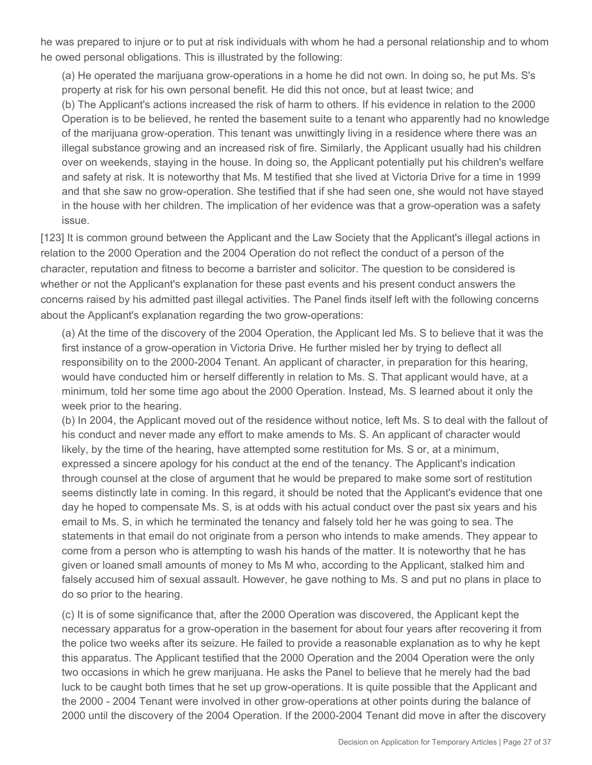he was prepared to injure or to put at risk individuals with whom he had a personal relationship and to whom he owed personal obligations. This is illustrated by the following:

(a) He operated the marijuana grow-operations in a home he did not own. In doing so, he put Ms. S's property at risk for his own personal benefit. He did this not once, but at least twice; and (b) The Applicant's actions increased the risk of harm to others. If his evidence in relation to the 2000 Operation is to be believed, he rented the basement suite to a tenant who apparently had no knowledge of the marijuana grow-operation. This tenant was unwittingly living in a residence where there was an illegal substance growing and an increased risk of fire. Similarly, the Applicant usually had his children over on weekends, staying in the house. In doing so, the Applicant potentially put his children's welfare and safety at risk. It is noteworthy that Ms. M testified that she lived at Victoria Drive for a time in 1999 and that she saw no grow-operation. She testified that if she had seen one, she would not have stayed in the house with her children. The implication of her evidence was that a grow-operation was a safety issue.

[123] It is common ground between the Applicant and the Law Society that the Applicant's illegal actions in relation to the 2000 Operation and the 2004 Operation do not reflect the conduct of a person of the character, reputation and fitness to become a barrister and solicitor. The question to be considered is whether or not the Applicant's explanation for these past events and his present conduct answers the concerns raised by his admitted past illegal activities. The Panel finds itself left with the following concerns about the Applicant's explanation regarding the two grow-operations:

(a) At the time of the discovery of the 2004 Operation, the Applicant led Ms. S to believe that it was the first instance of a grow-operation in Victoria Drive. He further misled her by trying to deflect all responsibility on to the 2000-2004 Tenant. An applicant of character, in preparation for this hearing, would have conducted him or herself differently in relation to Ms. S. That applicant would have, at a minimum, told her some time ago about the 2000 Operation. Instead, Ms. S learned about it only the week prior to the hearing.

(b) In 2004, the Applicant moved out of the residence without notice, left Ms. S to deal with the fallout of his conduct and never made any effort to make amends to Ms. S. An applicant of character would likely, by the time of the hearing, have attempted some restitution for Ms. S or, at a minimum, expressed a sincere apology for his conduct at the end of the tenancy. The Applicant's indication through counsel at the close of argument that he would be prepared to make some sort of restitution seems distinctly late in coming. In this regard, it should be noted that the Applicant's evidence that one day he hoped to compensate Ms. S, is at odds with his actual conduct over the past six years and his email to Ms. S, in which he terminated the tenancy and falsely told her he was going to sea. The statements in that email do not originate from a person who intends to make amends. They appear to come from a person who is attempting to wash his hands of the matter. It is noteworthy that he has given or loaned small amounts of money to Ms M who, according to the Applicant, stalked him and falsely accused him of sexual assault. However, he gave nothing to Ms. S and put no plans in place to do so prior to the hearing.

(c) It is of some significance that, after the 2000 Operation was discovered, the Applicant kept the necessary apparatus for a grow-operation in the basement for about four years after recovering it from the police two weeks after its seizure. He failed to provide a reasonable explanation as to why he kept this apparatus. The Applicant testified that the 2000 Operation and the 2004 Operation were the only two occasions in which he grew marijuana. He asks the Panel to believe that he merely had the bad luck to be caught both times that he set up grow-operations. It is quite possible that the Applicant and the 2000 - 2004 Tenant were involved in other grow-operations at other points during the balance of 2000 until the discovery of the 2004 Operation. If the 2000-2004 Tenant did move in after the discovery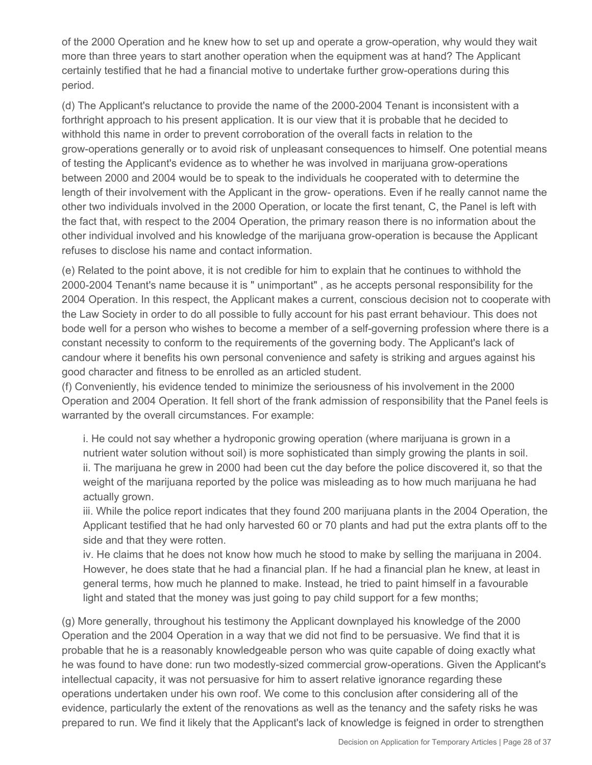of the 2000 Operation and he knew how to set up and operate a grow-operation, why would they wait more than three years to start another operation when the equipment was at hand? The Applicant certainly testified that he had a financial motive to undertake further grow-operations during this period.

(d) The Applicant's reluctance to provide the name of the 2000-2004 Tenant is inconsistent with a forthright approach to his present application. It is our view that it is probable that he decided to withhold this name in order to prevent corroboration of the overall facts in relation to the grow-operations generally or to avoid risk of unpleasant consequences to himself. One potential means of testing the Applicant's evidence as to whether he was involved in marijuana grow-operations between 2000 and 2004 would be to speak to the individuals he cooperated with to determine the length of their involvement with the Applicant in the grow- operations. Even if he really cannot name the other two individuals involved in the 2000 Operation, or locate the first tenant, C, the Panel is left with the fact that, with respect to the 2004 Operation, the primary reason there is no information about the other individual involved and his knowledge of the marijuana grow-operation is because the Applicant refuses to disclose his name and contact information.

(e) Related to the point above, it is not credible for him to explain that he continues to withhold the 2000-2004 Tenant's name because it is " unimportant" , as he accepts personal responsibility for the 2004 Operation. In this respect, the Applicant makes a current, conscious decision not to cooperate with the Law Society in order to do all possible to fully account for his past errant behaviour. This does not bode well for a person who wishes to become a member of a self-governing profession where there is a constant necessity to conform to the requirements of the governing body. The Applicant's lack of candour where it benefits his own personal convenience and safety is striking and argues against his good character and fitness to be enrolled as an articled student.

(f) Conveniently, his evidence tended to minimize the seriousness of his involvement in the 2000 Operation and 2004 Operation. It fell short of the frank admission of responsibility that the Panel feels is warranted by the overall circumstances. For example:

i. He could not say whether a hydroponic growing operation (where marijuana is grown in a nutrient water solution without soil) is more sophisticated than simply growing the plants in soil. ii. The marijuana he grew in 2000 had been cut the day before the police discovered it, so that the weight of the marijuana reported by the police was misleading as to how much marijuana he had actually grown.

iii. While the police report indicates that they found 200 marijuana plants in the 2004 Operation, the Applicant testified that he had only harvested 60 or 70 plants and had put the extra plants off to the side and that they were rotten.

iv. He claims that he does not know how much he stood to make by selling the marijuana in 2004. However, he does state that he had a financial plan. If he had a financial plan he knew, at least in general terms, how much he planned to make. Instead, he tried to paint himself in a favourable light and stated that the money was just going to pay child support for a few months;

(g) More generally, throughout his testimony the Applicant downplayed his knowledge of the 2000 Operation and the 2004 Operation in a way that we did not find to be persuasive. We find that it is probable that he is a reasonably knowledgeable person who was quite capable of doing exactly what he was found to have done: run two modestly-sized commercial grow-operations. Given the Applicant's intellectual capacity, it was not persuasive for him to assert relative ignorance regarding these operations undertaken under his own roof. We come to this conclusion after considering all of the evidence, particularly the extent of the renovations as well as the tenancy and the safety risks he was prepared to run. We find it likely that the Applicant's lack of knowledge is feigned in order to strengthen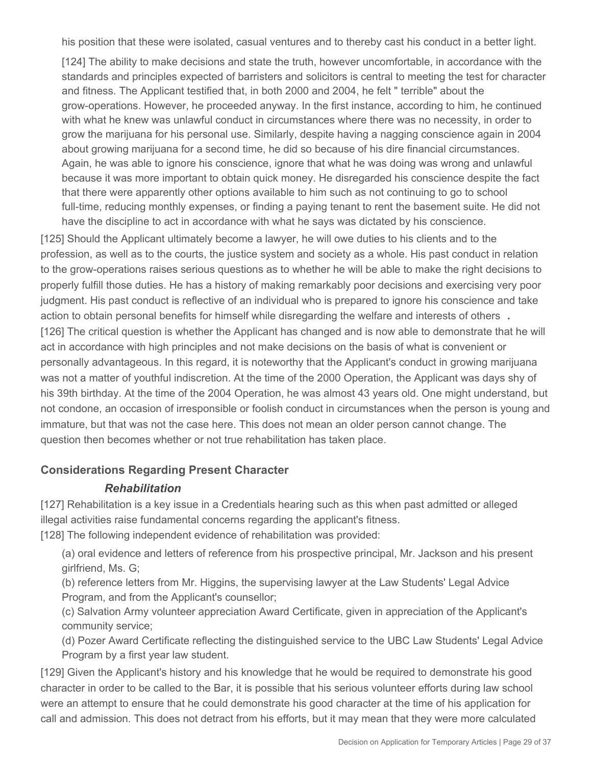his position that these were isolated, casual ventures and to thereby cast his conduct in a better light.

[124] The ability to make decisions and state the truth, however uncomfortable, in accordance with the standards and principles expected of barristers and solicitors is central to meeting the test for character and fitness. The Applicant testified that, in both 2000 and 2004, he felt " terrible" about the grow-operations. However, he proceeded anyway. In the first instance, according to him, he continued with what he knew was unlawful conduct in circumstances where there was no necessity, in order to grow the marijuana for his personal use. Similarly, despite having a nagging conscience again in 2004 about growing marijuana for a second time, he did so because of his dire financial circumstances. Again, he was able to ignore his conscience, ignore that what he was doing was wrong and unlawful because it was more important to obtain quick money. He disregarded his conscience despite the fact that there were apparently other options available to him such as not continuing to go to school full-time, reducing monthly expenses, or finding a paying tenant to rent the basement suite. He did not have the discipline to act in accordance with what he says was dictated by his conscience.

[125] Should the Applicant ultimately become a lawyer, he will owe duties to his clients and to the profession, as well as to the courts, the justice system and society as a whole. His past conduct in relation to the grow-operations raises serious questions as to whether he will be able to make the right decisions to properly fulfill those duties. He has a history of making remarkably poor decisions and exercising very poor judgment. His past conduct is reflective of an individual who is prepared to ignore his conscience and take action to obtain personal benefits for himself while disregarding the welfare and interests of others **.** [126] The critical question is whether the Applicant has changed and is now able to demonstrate that he will act in accordance with high principles and not make decisions on the basis of what is convenient or personally advantageous. In this regard, it is noteworthy that the Applicant's conduct in growing marijuana was not a matter of youthful indiscretion. At the time of the 2000 Operation, the Applicant was days shy of his 39th birthday. At the time of the 2004 Operation, he was almost 43 years old. One might understand, but not condone, an occasion of irresponsible or foolish conduct in circumstances when the person is young and immature, but that was not the case here. This does not mean an older person cannot change. The question then becomes whether or not true rehabilitation has taken place.

### **Considerations Regarding Present Character**

### *Rehabilitation*

[127] Rehabilitation is a key issue in a Credentials hearing such as this when past admitted or alleged illegal activities raise fundamental concerns regarding the applicant's fitness.

[128] The following independent evidence of rehabilitation was provided:

(a) oral evidence and letters of reference from his prospective principal, Mr. Jackson and his present girlfriend, Ms. G;

(b) reference letters from Mr. Higgins, the supervising lawyer at the Law Students' Legal Advice Program, and from the Applicant's counsellor;

(c) Salvation Army volunteer appreciation Award Certificate, given in appreciation of the Applicant's community service;

(d) Pozer Award Certificate reflecting the distinguished service to the UBC Law Students' Legal Advice Program by a first year law student.

[129] Given the Applicant's history and his knowledge that he would be required to demonstrate his good character in order to be called to the Bar, it is possible that his serious volunteer efforts during law school were an attempt to ensure that he could demonstrate his good character at the time of his application for call and admission. This does not detract from his efforts, but it may mean that they were more calculated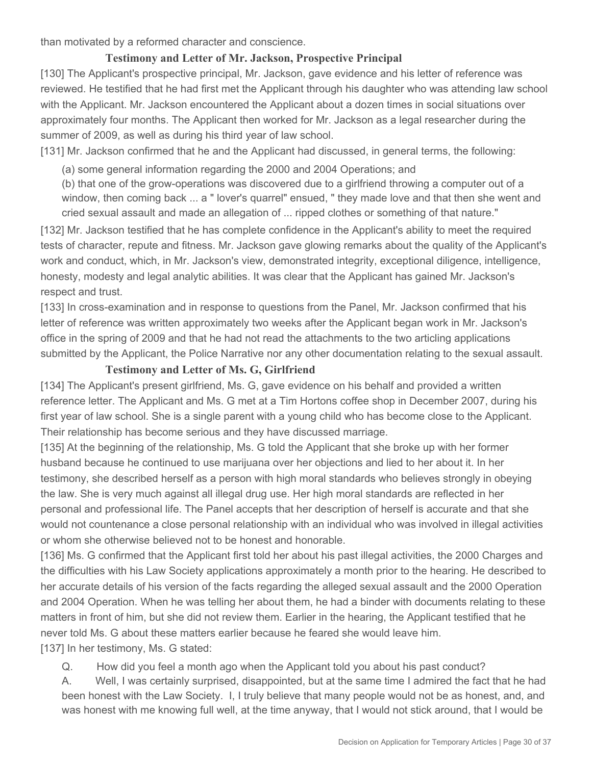than motivated by a reformed character and conscience.

## **Testimony and Letter of Mr. Jackson, Prospective Principal**

[130] The Applicant's prospective principal, Mr. Jackson, gave evidence and his letter of reference was reviewed. He testified that he had first met the Applicant through his daughter who was attending law school with the Applicant. Mr. Jackson encountered the Applicant about a dozen times in social situations over approximately four months. The Applicant then worked for Mr. Jackson as a legal researcher during the summer of 2009, as well as during his third year of law school.

[131] Mr. Jackson confirmed that he and the Applicant had discussed, in general terms, the following:

(a) some general information regarding the 2000 and 2004 Operations; and

(b) that one of the grow-operations was discovered due to a girlfriend throwing a computer out of a window, then coming back ... a " lover's quarrel" ensued, " they made love and that then she went and cried sexual assault and made an allegation of ... ripped clothes or something of that nature."

[132] Mr. Jackson testified that he has complete confidence in the Applicant's ability to meet the required tests of character, repute and fitness. Mr. Jackson gave glowing remarks about the quality of the Applicant's work and conduct, which, in Mr. Jackson's view, demonstrated integrity, exceptional diligence, intelligence, honesty, modesty and legal analytic abilities. It was clear that the Applicant has gained Mr. Jackson's respect and trust.

[133] In cross-examination and in response to questions from the Panel, Mr. Jackson confirmed that his letter of reference was written approximately two weeks after the Applicant began work in Mr. Jackson's office in the spring of 2009 and that he had not read the attachments to the two articling applications submitted by the Applicant, the Police Narrative nor any other documentation relating to the sexual assault.

### **Testimony and Letter of Ms. G, Girlfriend**

[134] The Applicant's present girlfriend, Ms. G, gave evidence on his behalf and provided a written reference letter. The Applicant and Ms. G met at a Tim Hortons coffee shop in December 2007, during his first year of law school. She is a single parent with a young child who has become close to the Applicant. Their relationship has become serious and they have discussed marriage.

[135] At the beginning of the relationship, Ms. G told the Applicant that she broke up with her former husband because he continued to use marijuana over her objections and lied to her about it. In her testimony, she described herself as a person with high moral standards who believes strongly in obeying the law. She is very much against all illegal drug use. Her high moral standards are reflected in her personal and professional life. The Panel accepts that her description of herself is accurate and that she would not countenance a close personal relationship with an individual who was involved in illegal activities or whom she otherwise believed not to be honest and honorable.

[136] Ms. G confirmed that the Applicant first told her about his past illegal activities, the 2000 Charges and the difficulties with his Law Society applications approximately a month prior to the hearing. He described to her accurate details of his version of the facts regarding the alleged sexual assault and the 2000 Operation and 2004 Operation. When he was telling her about them, he had a binder with documents relating to these matters in front of him, but she did not review them. Earlier in the hearing, the Applicant testified that he never told Ms. G about these matters earlier because he feared she would leave him. [137] In her testimony, Ms. G stated:

Q. How did you feel a month ago when the Applicant told you about his past conduct?

A. Well, I was certainly surprised, disappointed, but at the same time I admired the fact that he had been honest with the Law Society. I, I truly believe that many people would not be as honest, and, and was honest with me knowing full well, at the time anyway, that I would not stick around, that I would be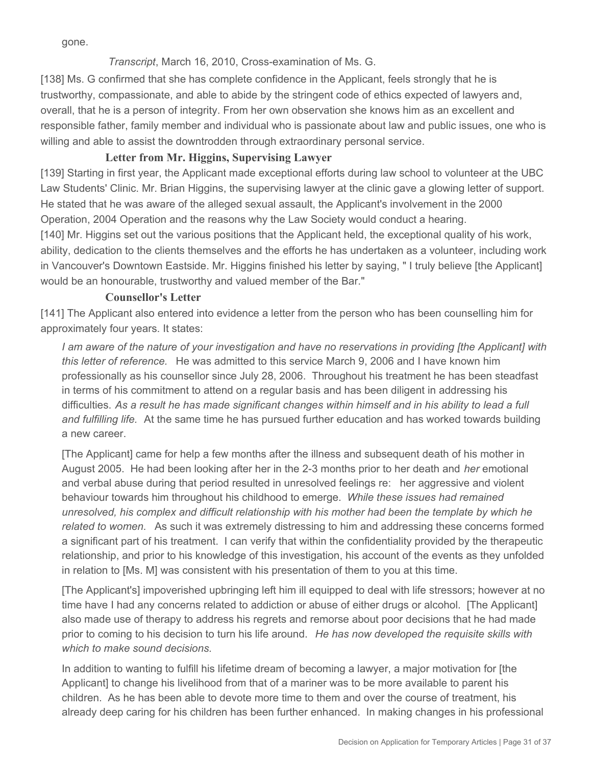gone.

### *Transcript*, March 16, 2010, Cross-examination of Ms. G.

[138] Ms. G confirmed that she has complete confidence in the Applicant, feels strongly that he is trustworthy, compassionate, and able to abide by the stringent code of ethics expected of lawyers and, overall, that he is a person of integrity. From her own observation she knows him as an excellent and responsible father, family member and individual who is passionate about law and public issues, one who is willing and able to assist the downtrodden through extraordinary personal service.

# **Letter from Mr. Higgins, Supervising Lawyer**

[139] Starting in first year, the Applicant made exceptional efforts during law school to volunteer at the UBC Law Students' Clinic. Mr. Brian Higgins, the supervising lawyer at the clinic gave a glowing letter of support. He stated that he was aware of the alleged sexual assault, the Applicant's involvement in the 2000 Operation, 2004 Operation and the reasons why the Law Society would conduct a hearing.

[140] Mr. Higgins set out the various positions that the Applicant held, the exceptional quality of his work, ability, dedication to the clients themselves and the efforts he has undertaken as a volunteer, including work in Vancouver's Downtown Eastside. Mr. Higgins finished his letter by saying, " I truly believe [the Applicant] would be an honourable, trustworthy and valued member of the Bar."

# **Counsellor's Letter**

[141] The Applicant also entered into evidence a letter from the person who has been counselling him for approximately four years. It states:

*I am aware of the nature of your investigation and have no reservations in providing [the Applicant] with this letter of reference.* He was admitted to this service March 9, 2006 and I have known him professionally as his counsellor since July 28, 2006. Throughout his treatment he has been steadfast in terms of his commitment to attend on a regular basis and has been diligent in addressing his difficulties. *As a result he has made significant changes within himself and in his ability to lead a full and fulfilling life.* At the same time he has pursued further education and has worked towards building a new career.

[The Applicant] came for help a few months after the illness and subsequent death of his mother in August 2005. He had been looking after her in the 2-3 months prior to her death and *her* emotional and verbal abuse during that period resulted in unresolved feelings re: her aggressive and violent behaviour towards him throughout his childhood to emerge. *While these issues had remained unresolved, his complex and difficult relationship with his mother had been the template by which he related to women.* As such it was extremely distressing to him and addressing these concerns formed a significant part of his treatment. I can verify that within the confidentiality provided by the therapeutic relationship, and prior to his knowledge of this investigation, his account of the events as they unfolded in relation to [Ms. M] was consistent with his presentation of them to you at this time.

[The Applicant's] impoverished upbringing left him ill equipped to deal with life stressors; however at no time have I had any concerns related to addiction or abuse of either drugs or alcohol. [The Applicant] also made use of therapy to address his regrets and remorse about poor decisions that he had made prior to coming to his decision to turn his life around. *He has now developed the requisite skills with which to make sound decisions.*

In addition to wanting to fulfill his lifetime dream of becoming a lawyer, a major motivation for [the Applicant] to change his livelihood from that of a mariner was to be more available to parent his children. As he has been able to devote more time to them and over the course of treatment, his already deep caring for his children has been further enhanced. In making changes in his professional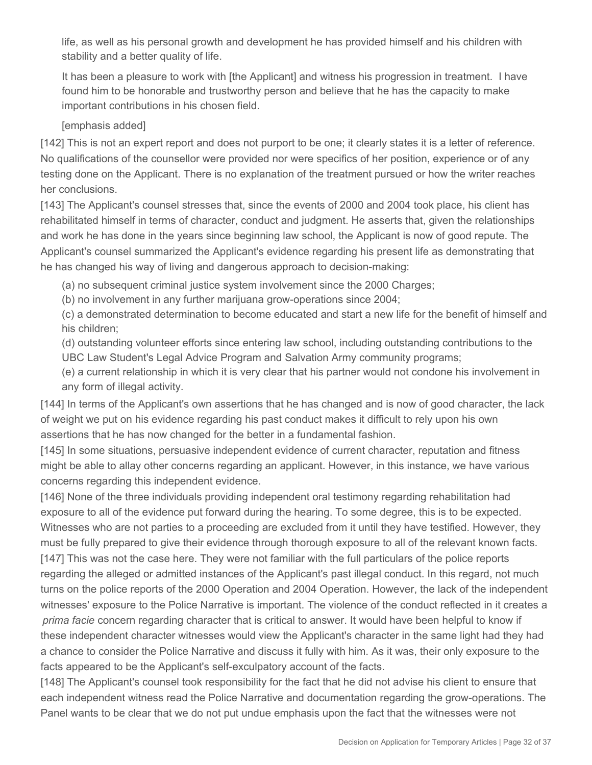life, as well as his personal growth and development he has provided himself and his children with stability and a better quality of life.

It has been a pleasure to work with [the Applicant] and witness his progression in treatment. I have found him to be honorable and trustworthy person and believe that he has the capacity to make important contributions in his chosen field.

### [emphasis added]

[142] This is not an expert report and does not purport to be one; it clearly states it is a letter of reference. No qualifications of the counsellor were provided nor were specifics of her position, experience or of any testing done on the Applicant. There is no explanation of the treatment pursued or how the writer reaches her conclusions.

[143] The Applicant's counsel stresses that, since the events of 2000 and 2004 took place, his client has rehabilitated himself in terms of character, conduct and judgment. He asserts that, given the relationships and work he has done in the years since beginning law school, the Applicant is now of good repute. The Applicant's counsel summarized the Applicant's evidence regarding his present life as demonstrating that he has changed his way of living and dangerous approach to decision-making:

(a) no subsequent criminal justice system involvement since the 2000 Charges;

(b) no involvement in any further marijuana grow-operations since 2004;

(c) a demonstrated determination to become educated and start a new life for the benefit of himself and his children;

(d) outstanding volunteer efforts since entering law school, including outstanding contributions to the UBC Law Student's Legal Advice Program and Salvation Army community programs;

(e) a current relationship in which it is very clear that his partner would not condone his involvement in any form of illegal activity.

[144] In terms of the Applicant's own assertions that he has changed and is now of good character, the lack of weight we put on his evidence regarding his past conduct makes it difficult to rely upon his own assertions that he has now changed for the better in a fundamental fashion.

[145] In some situations, persuasive independent evidence of current character, reputation and fitness might be able to allay other concerns regarding an applicant. However, in this instance, we have various concerns regarding this independent evidence.

[146] None of the three individuals providing independent oral testimony regarding rehabilitation had exposure to all of the evidence put forward during the hearing. To some degree, this is to be expected. Witnesses who are not parties to a proceeding are excluded from it until they have testified. However, they must be fully prepared to give their evidence through thorough exposure to all of the relevant known facts. [147] This was not the case here. They were not familiar with the full particulars of the police reports regarding the alleged or admitted instances of the Applicant's past illegal conduct. In this regard, not much turns on the police reports of the 2000 Operation and 2004 Operation. However, the lack of the independent witnesses' exposure to the Police Narrative is important. The violence of the conduct reflected in it creates a *prima facie* concern regarding character that is critical to answer. It would have been helpful to know if these independent character witnesses would view the Applicant's character in the same light had they had a chance to consider the Police Narrative and discuss it fully with him. As it was, their only exposure to the facts appeared to be the Applicant's self-exculpatory account of the facts.

[148] The Applicant's counsel took responsibility for the fact that he did not advise his client to ensure that each independent witness read the Police Narrative and documentation regarding the grow-operations. The Panel wants to be clear that we do not put undue emphasis upon the fact that the witnesses were not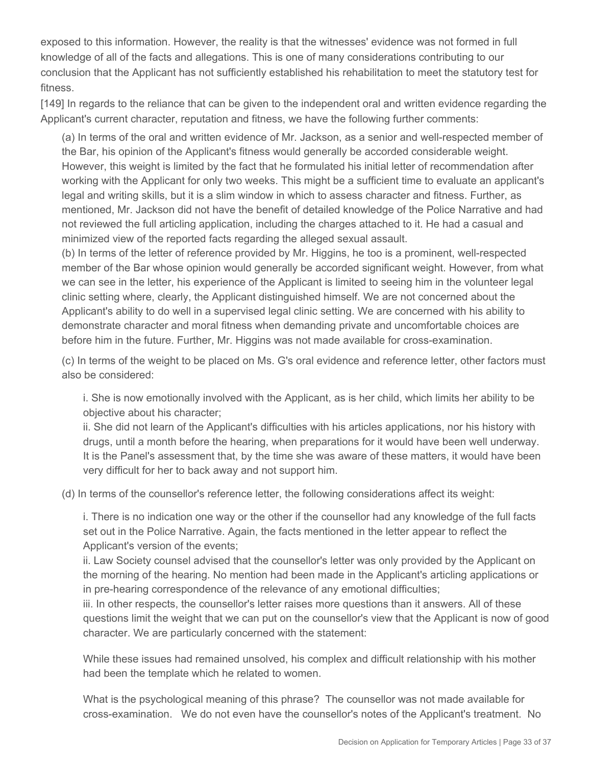exposed to this information. However, the reality is that the witnesses' evidence was not formed in full knowledge of all of the facts and allegations. This is one of many considerations contributing to our conclusion that the Applicant has not sufficiently established his rehabilitation to meet the statutory test for fitness.

[149] In regards to the reliance that can be given to the independent oral and written evidence regarding the Applicant's current character, reputation and fitness, we have the following further comments:

(a) In terms of the oral and written evidence of Mr. Jackson, as a senior and well-respected member of the Bar, his opinion of the Applicant's fitness would generally be accorded considerable weight. However, this weight is limited by the fact that he formulated his initial letter of recommendation after working with the Applicant for only two weeks. This might be a sufficient time to evaluate an applicant's legal and writing skills, but it is a slim window in which to assess character and fitness. Further, as mentioned, Mr. Jackson did not have the benefit of detailed knowledge of the Police Narrative and had not reviewed the full articling application, including the charges attached to it. He had a casual and minimized view of the reported facts regarding the alleged sexual assault.

(b) In terms of the letter of reference provided by Mr. Higgins, he too is a prominent, well-respected member of the Bar whose opinion would generally be accorded significant weight. However, from what we can see in the letter, his experience of the Applicant is limited to seeing him in the volunteer legal clinic setting where, clearly, the Applicant distinguished himself. We are not concerned about the Applicant's ability to do well in a supervised legal clinic setting. We are concerned with his ability to demonstrate character and moral fitness when demanding private and uncomfortable choices are before him in the future. Further, Mr. Higgins was not made available for cross-examination.

(c) In terms of the weight to be placed on Ms. G's oral evidence and reference letter, other factors must also be considered:

i. She is now emotionally involved with the Applicant, as is her child, which limits her ability to be objective about his character;

ii. She did not learn of the Applicant's difficulties with his articles applications, nor his history with drugs, until a month before the hearing, when preparations for it would have been well underway. It is the Panel's assessment that, by the time she was aware of these matters, it would have been very difficult for her to back away and not support him.

(d) In terms of the counsellor's reference letter, the following considerations affect its weight:

i. There is no indication one way or the other if the counsellor had any knowledge of the full facts set out in the Police Narrative. Again, the facts mentioned in the letter appear to reflect the Applicant's version of the events;

ii. Law Society counsel advised that the counsellor's letter was only provided by the Applicant on the morning of the hearing. No mention had been made in the Applicant's articling applications or in pre-hearing correspondence of the relevance of any emotional difficulties;

iii. In other respects, the counsellor's letter raises more questions than it answers. All of these questions limit the weight that we can put on the counsellor's view that the Applicant is now of good character. We are particularly concerned with the statement:

While these issues had remained unsolved, his complex and difficult relationship with his mother had been the template which he related to women.

What is the psychological meaning of this phrase? The counsellor was not made available for cross-examination. We do not even have the counsellor's notes of the Applicant's treatment. No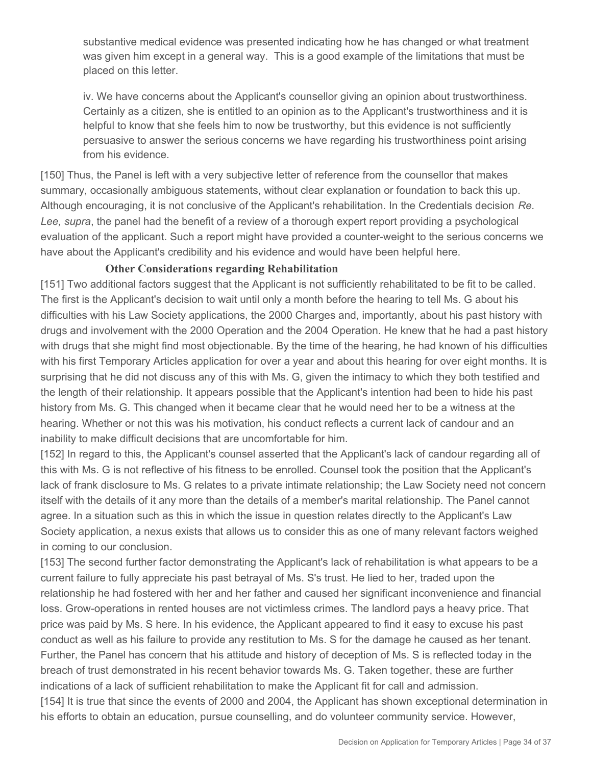substantive medical evidence was presented indicating how he has changed or what treatment was given him except in a general way. This is a good example of the limitations that must be placed on this letter.

iv. We have concerns about the Applicant's counsellor giving an opinion about trustworthiness. Certainly as a citizen, she is entitled to an opinion as to the Applicant's trustworthiness and it is helpful to know that she feels him to now be trustworthy, but this evidence is not sufficiently persuasive to answer the serious concerns we have regarding his trustworthiness point arising from his evidence.

[150] Thus, the Panel is left with a very subjective letter of reference from the counsellor that makes summary, occasionally ambiguous statements, without clear explanation or foundation to back this up. Although encouraging, it is not conclusive of the Applicant's rehabilitation. In the Credentials decision *Re. Lee, supra*, the panel had the benefit of a review of a thorough expert report providing a psychological evaluation of the applicant. Such a report might have provided a counter-weight to the serious concerns we have about the Applicant's credibility and his evidence and would have been helpful here.

# **Other Considerations regarding Rehabilitation**

[151] Two additional factors suggest that the Applicant is not sufficiently rehabilitated to be fit to be called. The first is the Applicant's decision to wait until only a month before the hearing to tell Ms. G about his difficulties with his Law Society applications, the 2000 Charges and, importantly, about his past history with drugs and involvement with the 2000 Operation and the 2004 Operation. He knew that he had a past history with drugs that she might find most objectionable. By the time of the hearing, he had known of his difficulties with his first Temporary Articles application for over a year and about this hearing for over eight months. It is surprising that he did not discuss any of this with Ms. G, given the intimacy to which they both testified and the length of their relationship. It appears possible that the Applicant's intention had been to hide his past history from Ms. G. This changed when it became clear that he would need her to be a witness at the hearing. Whether or not this was his motivation, his conduct reflects a current lack of candour and an inability to make difficult decisions that are uncomfortable for him.

[152] In regard to this, the Applicant's counsel asserted that the Applicant's lack of candour regarding all of this with Ms. G is not reflective of his fitness to be enrolled. Counsel took the position that the Applicant's lack of frank disclosure to Ms. G relates to a private intimate relationship; the Law Society need not concern itself with the details of it any more than the details of a member's marital relationship. The Panel cannot agree. In a situation such as this in which the issue in question relates directly to the Applicant's Law Society application, a nexus exists that allows us to consider this as one of many relevant factors weighed in coming to our conclusion.

[153] The second further factor demonstrating the Applicant's lack of rehabilitation is what appears to be a current failure to fully appreciate his past betrayal of Ms. S's trust. He lied to her, traded upon the relationship he had fostered with her and her father and caused her significant inconvenience and financial loss. Grow-operations in rented houses are not victimless crimes. The landlord pays a heavy price. That price was paid by Ms. S here. In his evidence, the Applicant appeared to find it easy to excuse his past conduct as well as his failure to provide any restitution to Ms. S for the damage he caused as her tenant. Further, the Panel has concern that his attitude and history of deception of Ms. S is reflected today in the breach of trust demonstrated in his recent behavior towards Ms. G. Taken together, these are further indications of a lack of sufficient rehabilitation to make the Applicant fit for call and admission. [154] It is true that since the events of 2000 and 2004, the Applicant has shown exceptional determination in his efforts to obtain an education, pursue counselling, and do volunteer community service. However,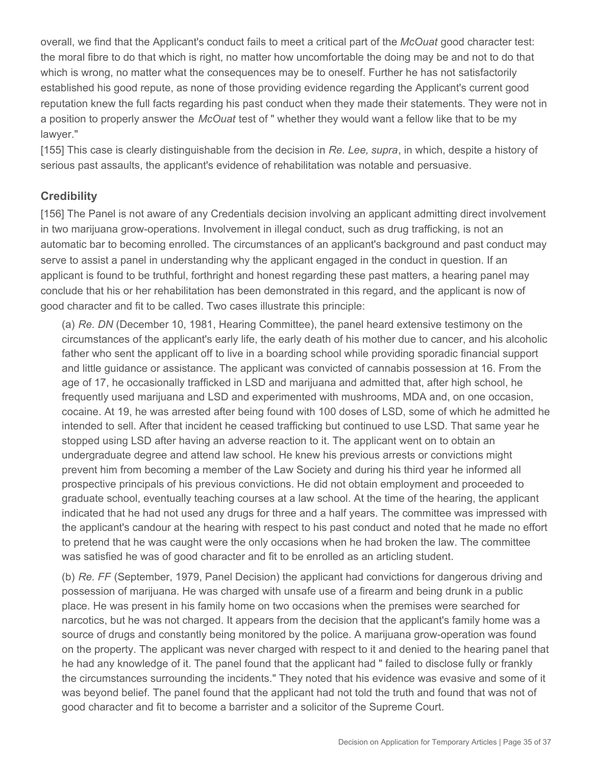overall, we find that the Applicant's conduct fails to meet a critical part of the *McOuat* good character test: the moral fibre to do that which is right, no matter how uncomfortable the doing may be and not to do that which is wrong, no matter what the consequences may be to oneself. Further he has not satisfactorily established his good repute, as none of those providing evidence regarding the Applicant's current good reputation knew the full facts regarding his past conduct when they made their statements. They were not in a position to properly answer the *McOuat* test of " whether they would want a fellow like that to be my lawyer."

[155] This case is clearly distinguishable from the decision in *Re. Lee, supra*, in which, despite a history of serious past assaults, the applicant's evidence of rehabilitation was notable and persuasive.

## **Credibility**

[156] The Panel is not aware of any Credentials decision involving an applicant admitting direct involvement in two marijuana grow-operations. Involvement in illegal conduct, such as drug trafficking, is not an automatic bar to becoming enrolled. The circumstances of an applicant's background and past conduct may serve to assist a panel in understanding why the applicant engaged in the conduct in question. If an applicant is found to be truthful, forthright and honest regarding these past matters, a hearing panel may conclude that his or her rehabilitation has been demonstrated in this regard, and the applicant is now of good character and fit to be called. Two cases illustrate this principle:

(a) *Re. DN* (December 10, 1981, Hearing Committee), the panel heard extensive testimony on the circumstances of the applicant's early life, the early death of his mother due to cancer, and his alcoholic father who sent the applicant off to live in a boarding school while providing sporadic financial support and little guidance or assistance. The applicant was convicted of cannabis possession at 16. From the age of 17, he occasionally trafficked in LSD and marijuana and admitted that, after high school, he frequently used marijuana and LSD and experimented with mushrooms, MDA and, on one occasion, cocaine. At 19, he was arrested after being found with 100 doses of LSD, some of which he admitted he intended to sell. After that incident he ceased trafficking but continued to use LSD. That same year he stopped using LSD after having an adverse reaction to it. The applicant went on to obtain an undergraduate degree and attend law school. He knew his previous arrests or convictions might prevent him from becoming a member of the Law Society and during his third year he informed all prospective principals of his previous convictions. He did not obtain employment and proceeded to graduate school, eventually teaching courses at a law school. At the time of the hearing, the applicant indicated that he had not used any drugs for three and a half years. The committee was impressed with the applicant's candour at the hearing with respect to his past conduct and noted that he made no effort to pretend that he was caught were the only occasions when he had broken the law. The committee was satisfied he was of good character and fit to be enrolled as an articling student.

(b) *Re. FF* (September, 1979, Panel Decision) the applicant had convictions for dangerous driving and possession of marijuana. He was charged with unsafe use of a firearm and being drunk in a public place. He was present in his family home on two occasions when the premises were searched for narcotics, but he was not charged. It appears from the decision that the applicant's family home was a source of drugs and constantly being monitored by the police. A marijuana grow-operation was found on the property. The applicant was never charged with respect to it and denied to the hearing panel that he had any knowledge of it. The panel found that the applicant had " failed to disclose fully or frankly the circumstances surrounding the incidents." They noted that his evidence was evasive and some of it was beyond belief. The panel found that the applicant had not told the truth and found that was not of good character and fit to become a barrister and a solicitor of the Supreme Court.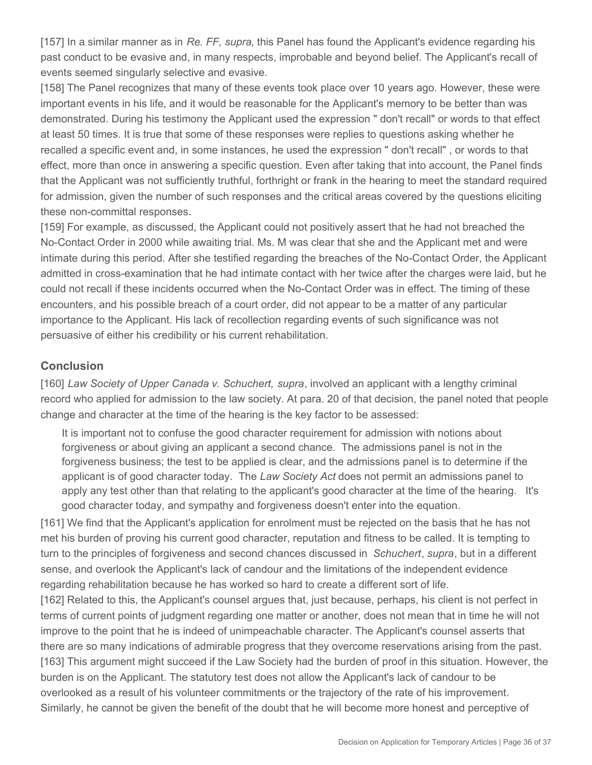[157] In a similar manner as in *Re. FF, supra*, this Panel has found the Applicant's evidence regarding his past conduct to be evasive and, in many respects, improbable and beyond belief. The Applicant's recall of events seemed singularly selective and evasive.

[158] The Panel recognizes that many of these events took place over 10 years ago. However, these were important events in his life, and it would be reasonable for the Applicant's memory to be better than was demonstrated. During his testimony the Applicant used the expression " don't recall" or words to that effect at least 50 times. It is true that some of these responses were replies to questions asking whether he recalled a specific event and, in some instances, he used the expression " don't recall" , or words to that effect, more than once in answering a specific question. Even after taking that into account, the Panel finds that the Applicant was not sufficiently truthful, forthright or frank in the hearing to meet the standard required for admission, given the number of such responses and the critical areas covered by the questions eliciting these non-committal responses.

[159] For example, as discussed, the Applicant could not positively assert that he had not breached the No-Contact Order in 2000 while awaiting trial. Ms. M was clear that she and the Applicant met and were intimate during this period. After she testified regarding the breaches of the No-Contact Order, the Applicant admitted in cross-examination that he had intimate contact with her twice after the charges were laid, but he could not recall if these incidents occurred when the No-Contact Order was in effect. The timing of these encounters, and his possible breach of a court order, did not appear to be a matter of any particular importance to the Applicant. His lack of recollection regarding events of such significance was not persuasive of either his credibility or his current rehabilitation.

# **Conclusion**

[160] *Law Society of Upper Canada v. Schuchert, supra*, involved an applicant with a lengthy criminal record who applied for admission to the law society. At para. 20 of that decision, the panel noted that people change and character at the time of the hearing is the key factor to be assessed:

It is important not to confuse the good character requirement for admission with notions about forgiveness or about giving an applicant a second chance. The admissions panel is not in the forgiveness business; the test to be applied is clear, and the admissions panel is to determine if the applicant is of good character today. The *Law Society Act* does not permit an admissions panel to apply any test other than that relating to the applicant's good character at the time of the hearing. It's good character today, and sympathy and forgiveness doesn't enter into the equation.

[161] We find that the Applicant's application for enrolment must be rejected on the basis that he has not met his burden of proving his current good character, reputation and fitness to be called. It is tempting to turn to the principles of forgiveness and second chances discussed in *Schuchert*, *supra*, but in a different sense, and overlook the Applicant's lack of candour and the limitations of the independent evidence regarding rehabilitation because he has worked so hard to create a different sort of life.

[162] Related to this, the Applicant's counsel argues that, just because, perhaps, his client is not perfect in terms of current points of judgment regarding one matter or another, does not mean that in time he will not improve to the point that he is indeed of unimpeachable character. The Applicant's counsel asserts that there are so many indications of admirable progress that they overcome reservations arising from the past. [163] This argument might succeed if the Law Society had the burden of proof in this situation. However, the burden is on the Applicant. The statutory test does not allow the Applicant's lack of candour to be overlooked as a result of his volunteer commitments or the trajectory of the rate of his improvement. Similarly, he cannot be given the benefit of the doubt that he will become more honest and perceptive of